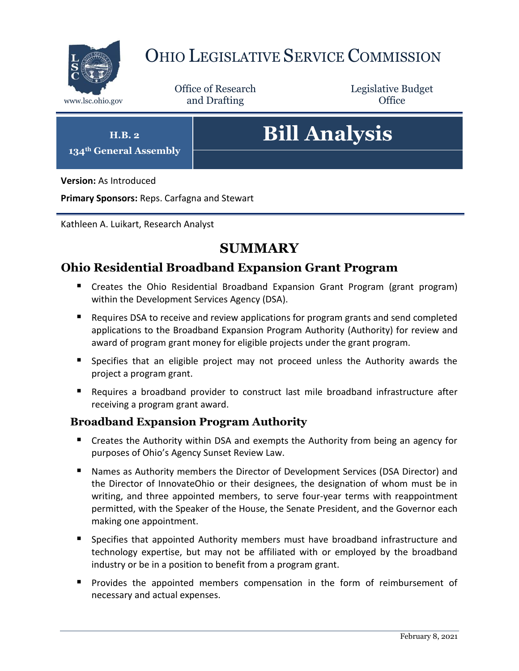

# OHIO LEGISLATIVE SERVICE COMMISSION

Office of Research www.lsc.ohio.gov **and Drafting Office** 

Legislative Budget

**H.B. 2**

**134th General Assembly**

# **Bill Analysis**

**Version:** As Introduced

**Primary Sponsors:** Reps. Carfagna and Stewart

Kathleen A. Luikart, Research Analyst

# **SUMMARY**

# **Ohio Residential Broadband Expansion Grant Program**

- Creates the Ohio Residential Broadband Expansion Grant Program (grant program) within the Development Services Agency (DSA).
- Requires DSA to receive and review applications for program grants and send completed applications to the Broadband Expansion Program Authority (Authority) for review and award of program grant money for eligible projects under the grant program.
- Specifies that an eligible project may not proceed unless the Authority awards the project a program grant.
- Requires a broadband provider to construct last mile broadband infrastructure after receiving a program grant award.

# **Broadband Expansion Program Authority**

- Creates the Authority within DSA and exempts the Authority from being an agency for purposes of Ohio's Agency Sunset Review Law.
- Names as Authority members the Director of Development Services (DSA Director) and the Director of InnovateOhio or their designees, the designation of whom must be in writing, and three appointed members, to serve four-year terms with reappointment permitted, with the Speaker of the House, the Senate President, and the Governor each making one appointment.
- Specifies that appointed Authority members must have broadband infrastructure and technology expertise, but may not be affiliated with or employed by the broadband industry or be in a position to benefit from a program grant.
- **Provides the appointed members compensation in the form of reimbursement of** necessary and actual expenses.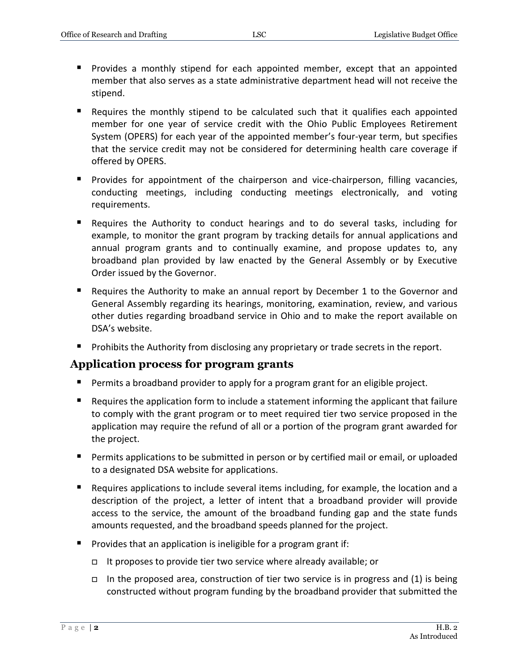- Provides a monthly stipend for each appointed member, except that an appointed member that also serves as a state administrative department head will not receive the stipend.
- Requires the monthly stipend to be calculated such that it qualifies each appointed member for one year of service credit with the Ohio Public Employees Retirement System (OPERS) for each year of the appointed member's four-year term, but specifies that the service credit may not be considered for determining health care coverage if offered by OPERS.
- **Provides for appointment of the chairperson and vice-chairperson, filling vacancies,** conducting meetings, including conducting meetings electronically, and voting requirements.
- Requires the Authority to conduct hearings and to do several tasks, including for example, to monitor the grant program by tracking details for annual applications and annual program grants and to continually examine, and propose updates to, any broadband plan provided by law enacted by the General Assembly or by Executive Order issued by the Governor.
- Requires the Authority to make an annual report by December 1 to the Governor and General Assembly regarding its hearings, monitoring, examination, review, and various other duties regarding broadband service in Ohio and to make the report available on DSA's website.
- **Prohibits the Authority from disclosing any proprietary or trade secrets in the report.**

#### **Application process for program grants**

- **Permits a broadband provider to apply for a program grant for an eligible project.**
- Requires the application form to include a statement informing the applicant that failure to comply with the grant program or to meet required tier two service proposed in the application may require the refund of all or a portion of the program grant awarded for the project.
- **Permits applications to be submitted in person or by certified mail or email, or uploaded** to a designated DSA website for applications.
- Requires applications to include several items including, for example, the location and a description of the project, a letter of intent that a broadband provider will provide access to the service, the amount of the broadband funding gap and the state funds amounts requested, and the broadband speeds planned for the project.
- Provides that an application is ineligible for a program grant if:
	- It proposes to provide tier two service where already available; or
	- In the proposed area, construction of tier two service is in progress and (1) is being constructed without program funding by the broadband provider that submitted the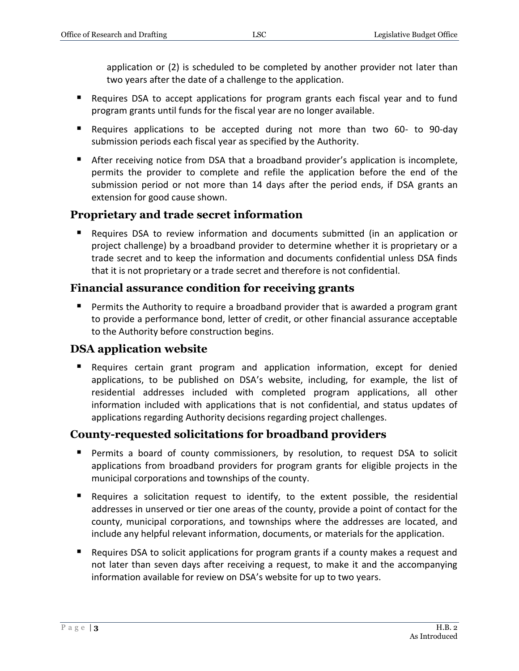application or (2) is scheduled to be completed by another provider not later than two years after the date of a challenge to the application.

- Requires DSA to accept applications for program grants each fiscal year and to fund program grants until funds for the fiscal year are no longer available.
- Requires applications to be accepted during not more than two 60- to 90-day submission periods each fiscal year as specified by the Authority.
- After receiving notice from DSA that a broadband provider's application is incomplete, permits the provider to complete and refile the application before the end of the submission period or not more than 14 days after the period ends, if DSA grants an extension for good cause shown.

# **Proprietary and trade secret information**

 Requires DSA to review information and documents submitted (in an application or project challenge) by a broadband provider to determine whether it is proprietary or a trade secret and to keep the information and documents confidential unless DSA finds that it is not proprietary or a trade secret and therefore is not confidential.

# **Financial assurance condition for receiving grants**

 Permits the Authority to require a broadband provider that is awarded a program grant to provide a performance bond, letter of credit, or other financial assurance acceptable to the Authority before construction begins.

# **DSA application website**

 Requires certain grant program and application information, except for denied applications, to be published on DSA's website, including, for example, the list of residential addresses included with completed program applications, all other information included with applications that is not confidential, and status updates of applications regarding Authority decisions regarding project challenges.

# **County-requested solicitations for broadband providers**

- Permits a board of county commissioners, by resolution, to request DSA to solicit applications from broadband providers for program grants for eligible projects in the municipal corporations and townships of the county.
- Requires a solicitation request to identify, to the extent possible, the residential addresses in unserved or tier one areas of the county, provide a point of contact for the county, municipal corporations, and townships where the addresses are located, and include any helpful relevant information, documents, or materials for the application.
- Requires DSA to solicit applications for program grants if a county makes a request and not later than seven days after receiving a request, to make it and the accompanying information available for review on DSA's website for up to two years.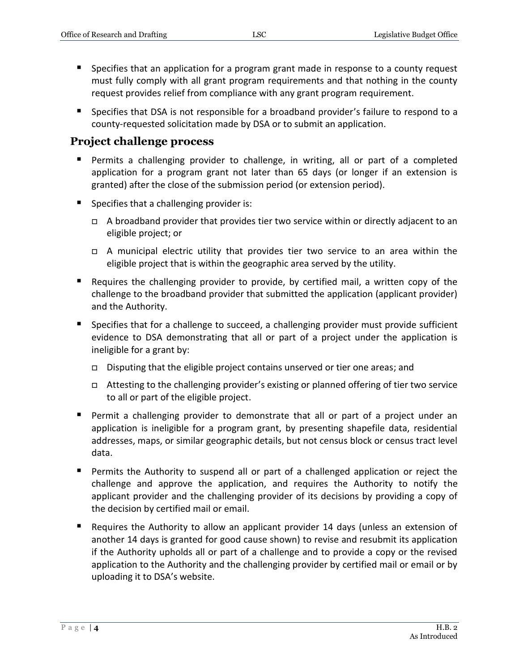- **Specifies that an application for a program grant made in response to a county request** must fully comply with all grant program requirements and that nothing in the county request provides relief from compliance with any grant program requirement.
- **Specifies that DSA is not responsible for a broadband provider's failure to respond to a** county-requested solicitation made by DSA or to submit an application.

#### **Project challenge process**

- **Permits a challenging provider to challenge, in writing, all or part of a completed** application for a program grant not later than 65 days (or longer if an extension is granted) after the close of the submission period (or extension period).
- $\blacksquare$  Specifies that a challenging provider is:
	- $\Box$  A broadband provider that provides tier two service within or directly adjacent to an eligible project; or
	- A municipal electric utility that provides tier two service to an area within the eligible project that is within the geographic area served by the utility.
- Requires the challenging provider to provide, by certified mail, a written copy of the challenge to the broadband provider that submitted the application (applicant provider) and the Authority.
- **Specifies that for a challenge to succeed, a challenging provider must provide sufficient** evidence to DSA demonstrating that all or part of a project under the application is ineligible for a grant by:
	- Disputing that the eligible project contains unserved or tier one areas; and
	- Attesting to the challenging provider's existing or planned offering of tier two service to all or part of the eligible project.
- Permit a challenging provider to demonstrate that all or part of a project under an application is ineligible for a program grant, by presenting shapefile data, residential addresses, maps, or similar geographic details, but not census block or census tract level data.
- Permits the Authority to suspend all or part of a challenged application or reject the challenge and approve the application, and requires the Authority to notify the applicant provider and the challenging provider of its decisions by providing a copy of the decision by certified mail or email.
- Requires the Authority to allow an applicant provider 14 days (unless an extension of another 14 days is granted for good cause shown) to revise and resubmit its application if the Authority upholds all or part of a challenge and to provide a copy or the revised application to the Authority and the challenging provider by certified mail or email or by uploading it to DSA's website.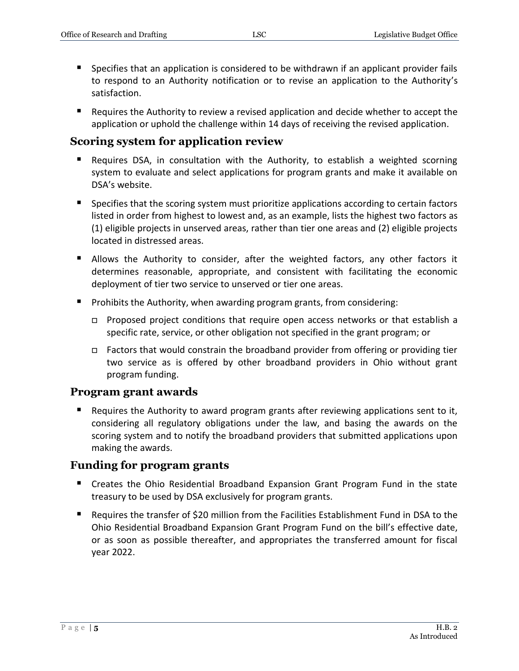- Specifies that an application is considered to be withdrawn if an applicant provider fails to respond to an Authority notification or to revise an application to the Authority's satisfaction.
- **Requires the Authority to review a revised application and decide whether to accept the** application or uphold the challenge within 14 days of receiving the revised application.

#### **Scoring system for application review**

- Requires DSA, in consultation with the Authority, to establish a weighted scorning system to evaluate and select applications for program grants and make it available on DSA's website.
- **Specifies that the scoring system must prioritize applications according to certain factors** listed in order from highest to lowest and, as an example, lists the highest two factors as (1) eligible projects in unserved areas, rather than tier one areas and (2) eligible projects located in distressed areas.
- **Allows the Authority to consider, after the weighted factors, any other factors it** determines reasonable, appropriate, and consistent with facilitating the economic deployment of tier two service to unserved or tier one areas.
- **Prohibits the Authority, when awarding program grants, from considering:** 
	- $\Box$  Proposed project conditions that require open access networks or that establish a specific rate, service, or other obligation not specified in the grant program; or
	- $\Box$  Factors that would constrain the broadband provider from offering or providing tier two service as is offered by other broadband providers in Ohio without grant program funding.

#### **Program grant awards**

Requires the Authority to award program grants after reviewing applications sent to it, considering all regulatory obligations under the law, and basing the awards on the scoring system and to notify the broadband providers that submitted applications upon making the awards.

#### **Funding for program grants**

- **E** Creates the Ohio Residential Broadband Expansion Grant Program Fund in the state treasury to be used by DSA exclusively for program grants.
- Requires the transfer of \$20 million from the Facilities Establishment Fund in DSA to the Ohio Residential Broadband Expansion Grant Program Fund on the bill's effective date, or as soon as possible thereafter, and appropriates the transferred amount for fiscal year 2022.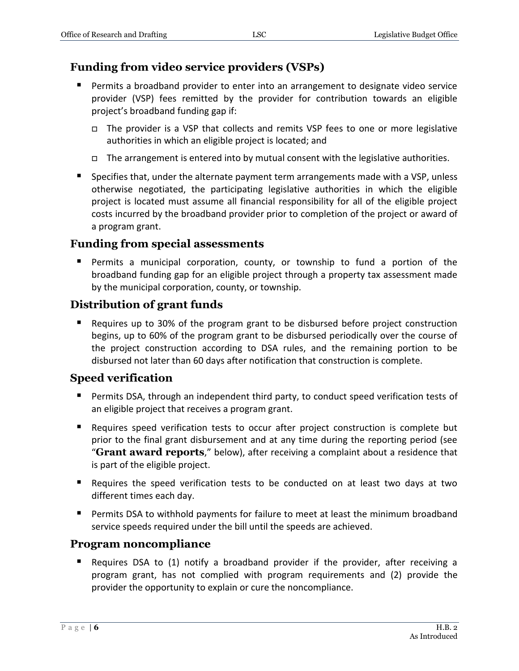# **Funding from video service providers (VSPs)**

- Permits a broadband provider to enter into an arrangement to designate video service provider (VSP) fees remitted by the provider for contribution towards an eligible project's broadband funding gap if:
	- $\Box$  The provider is a VSP that collects and remits VSP fees to one or more legislative authorities in which an eligible project is located; and
	- $\Box$  The arrangement is entered into by mutual consent with the legislative authorities.
- **Specifies that, under the alternate payment term arrangements made with a VSP, unless** otherwise negotiated, the participating legislative authorities in which the eligible project is located must assume all financial responsibility for all of the eligible project costs incurred by the broadband provider prior to completion of the project or award of a program grant.

#### **Funding from special assessments**

 Permits a municipal corporation, county, or township to fund a portion of the broadband funding gap for an eligible project through a property tax assessment made by the municipal corporation, county, or township.

# **Distribution of grant funds**

 Requires up to 30% of the program grant to be disbursed before project construction begins, up to 60% of the program grant to be disbursed periodically over the course of the project construction according to DSA rules, and the remaining portion to be disbursed not later than 60 days after notification that construction is complete.

# **Speed verification**

- Permits DSA, through an independent third party, to conduct speed verification tests of an eligible project that receives a program grant.
- **E** Requires speed verification tests to occur after project construction is complete but prior to the final grant disbursement and at any time during the reporting period (see "**Grant award reports**," below), after receiving a complaint about a residence that is part of the eligible project.
- Requires the speed verification tests to be conducted on at least two days at two different times each day.
- Permits DSA to withhold payments for failure to meet at least the minimum broadband service speeds required under the bill until the speeds are achieved.

# **Program noncompliance**

 Requires DSA to (1) notify a broadband provider if the provider, after receiving a program grant, has not complied with program requirements and (2) provide the provider the opportunity to explain or cure the noncompliance.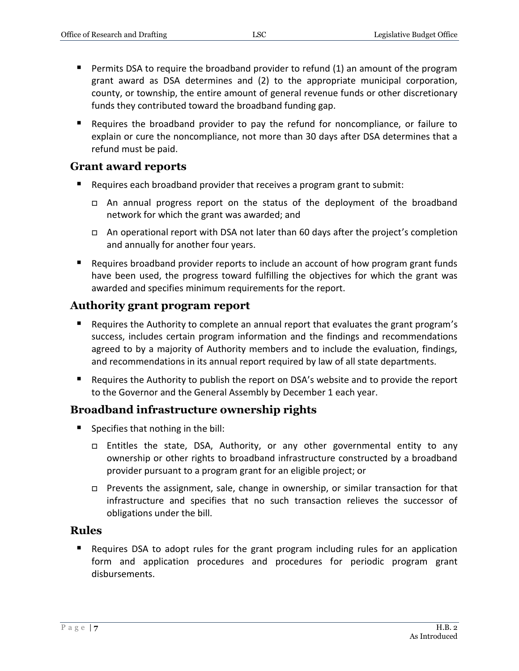- **Permits DSA to require the broadband provider to refund (1) an amount of the program** grant award as DSA determines and (2) to the appropriate municipal corporation, county, or township, the entire amount of general revenue funds or other discretionary funds they contributed toward the broadband funding gap.
- Requires the broadband provider to pay the refund for noncompliance, or failure to explain or cure the noncompliance, not more than 30 days after DSA determines that a refund must be paid.

#### **Grant award reports**

- Requires each broadband provider that receives a program grant to submit:
	- $\Box$  An annual progress report on the status of the deployment of the broadband network for which the grant was awarded; and
	- □ An operational report with DSA not later than 60 days after the project's completion and annually for another four years.
- Requires broadband provider reports to include an account of how program grant funds have been used, the progress toward fulfilling the objectives for which the grant was awarded and specifies minimum requirements for the report.

#### **Authority grant program report**

- **Requires the Authority to complete an annual report that evaluates the grant program's** success, includes certain program information and the findings and recommendations agreed to by a majority of Authority members and to include the evaluation, findings, and recommendations in its annual report required by law of all state departments.
- **E** Requires the Authority to publish the report on DSA's website and to provide the report to the Governor and the General Assembly by December 1 each year.

#### **Broadband infrastructure ownership rights**

- Specifies that nothing in the bill:
	- Entitles the state, DSA, Authority, or any other governmental entity to any ownership or other rights to broadband infrastructure constructed by a broadband provider pursuant to a program grant for an eligible project; or
	- □ Prevents the assignment, sale, change in ownership, or similar transaction for that infrastructure and specifies that no such transaction relieves the successor of obligations under the bill.

#### **Rules**

 Requires DSA to adopt rules for the grant program including rules for an application form and application procedures and procedures for periodic program grant disbursements.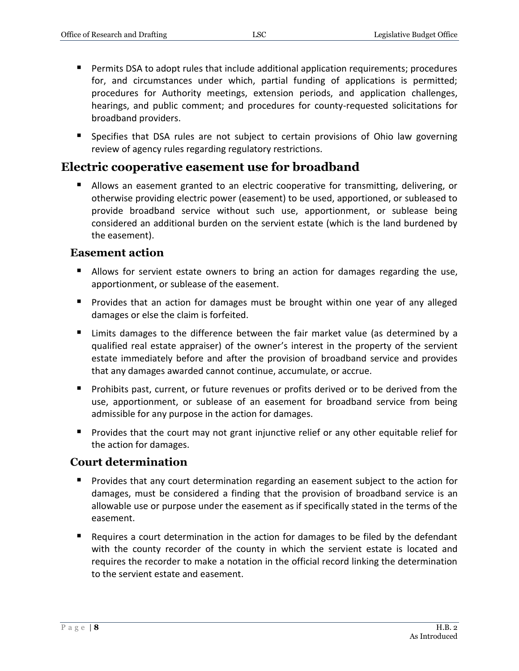- Permits DSA to adopt rules that include additional application requirements; procedures for, and circumstances under which, partial funding of applications is permitted; procedures for Authority meetings, extension periods, and application challenges, hearings, and public comment; and procedures for county-requested solicitations for broadband providers.
- Specifies that DSA rules are not subject to certain provisions of Ohio law governing review of agency rules regarding regulatory restrictions.

# **Electric cooperative easement use for broadband**

 Allows an easement granted to an electric cooperative for transmitting, delivering, or otherwise providing electric power (easement) to be used, apportioned, or subleased to provide broadband service without such use, apportionment, or sublease being considered an additional burden on the servient estate (which is the land burdened by the easement).

#### **Easement action**

- **Allows for servient estate owners to bring an action for damages regarding the use,** apportionment, or sublease of the easement.
- **Provides that an action for damages must be brought within one year of any alleged** damages or else the claim is forfeited.
- Limits damages to the difference between the fair market value (as determined by a qualified real estate appraiser) of the owner's interest in the property of the servient estate immediately before and after the provision of broadband service and provides that any damages awarded cannot continue, accumulate, or accrue.
- **Prohibits past, current, or future revenues or profits derived or to be derived from the** use, apportionment, or sublease of an easement for broadband service from being admissible for any purpose in the action for damages.
- **Provides that the court may not grant injunctive relief or any other equitable relief for** the action for damages.

# **Court determination**

- Provides that any court determination regarding an easement subject to the action for damages, must be considered a finding that the provision of broadband service is an allowable use or purpose under the easement as if specifically stated in the terms of the easement.
- Requires a court determination in the action for damages to be filed by the defendant with the county recorder of the county in which the servient estate is located and requires the recorder to make a notation in the official record linking the determination to the servient estate and easement.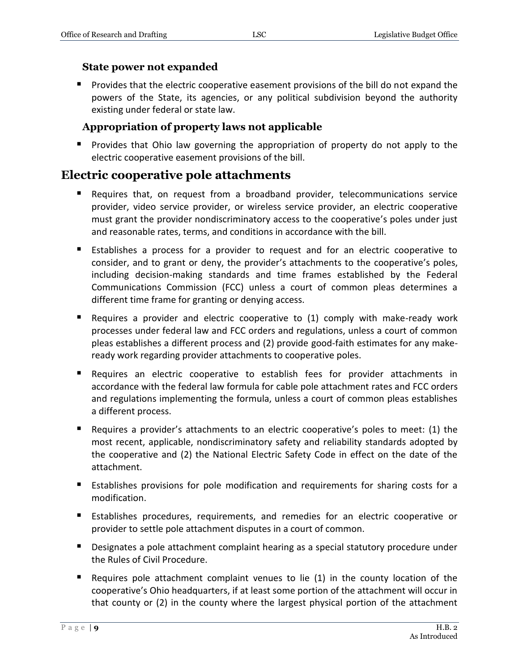#### **State power not expanded**

 Provides that the electric cooperative easement provisions of the bill do not expand the powers of the State, its agencies, or any political subdivision beyond the authority existing under federal or state law.

#### **Appropriation of property laws not applicable**

**Provides that Ohio law governing the appropriation of property do not apply to the** electric cooperative easement provisions of the bill.

# **Electric cooperative pole attachments**

- Requires that, on request from a broadband provider, telecommunications service provider, video service provider, or wireless service provider, an electric cooperative must grant the provider nondiscriminatory access to the cooperative's poles under just and reasonable rates, terms, and conditions in accordance with the bill.
- Establishes a process for a provider to request and for an electric cooperative to consider, and to grant or deny, the provider's attachments to the cooperative's poles, including decision-making standards and time frames established by the Federal Communications Commission (FCC) unless a court of common pleas determines a different time frame for granting or denying access.
- Requires a provider and electric cooperative to (1) comply with make-ready work processes under federal law and FCC orders and regulations, unless a court of common pleas establishes a different process and (2) provide good-faith estimates for any makeready work regarding provider attachments to cooperative poles.
- Requires an electric cooperative to establish fees for provider attachments in accordance with the federal law formula for cable pole attachment rates and FCC orders and regulations implementing the formula, unless a court of common pleas establishes a different process.
- Requires a provider's attachments to an electric cooperative's poles to meet: (1) the most recent, applicable, nondiscriminatory safety and reliability standards adopted by the cooperative and (2) the National Electric Safety Code in effect on the date of the attachment.
- Establishes provisions for pole modification and requirements for sharing costs for a modification.
- Establishes procedures, requirements, and remedies for an electric cooperative or provider to settle pole attachment disputes in a court of common.
- **Designates a pole attachment complaint hearing as a special statutory procedure under** the Rules of Civil Procedure.
- Requires pole attachment complaint venues to lie  $(1)$  in the county location of the cooperative's Ohio headquarters, if at least some portion of the attachment will occur in that county or (2) in the county where the largest physical portion of the attachment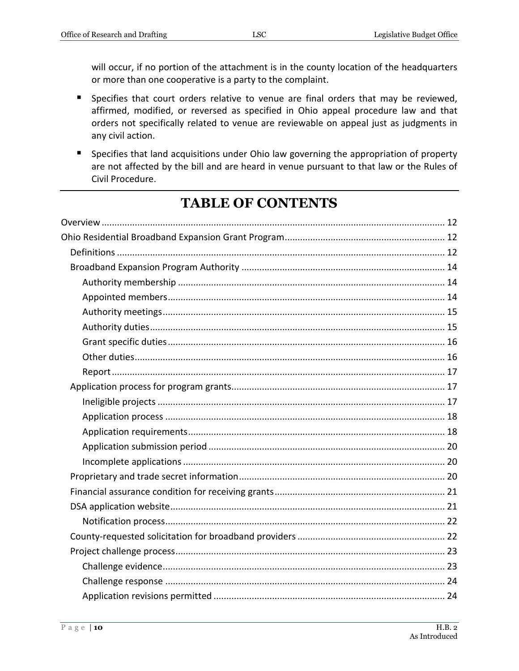will occur, if no portion of the attachment is in the county location of the headquarters or more than one cooperative is a party to the complaint.

- **Specifies that court orders relative to venue are final orders that may be reviewed,** affirmed, modified, or reversed as specified in Ohio appeal procedure law and that orders not specifically related to venue are reviewable on appeal just as judgments in any civil action.
- **Specifies that land acquisitions under Ohio law governing the appropriation of property** are not affected by the bill and are heard in venue pursuant to that law or the Rules of Civil Procedure.

# **TABLE OF CONTENTS**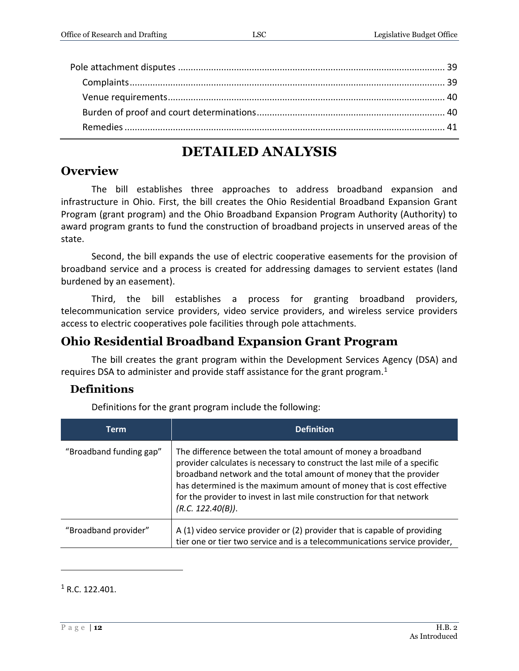# **DETAILED ANALYSIS**

# <span id="page-11-0"></span>**Overview**

The bill establishes three approaches to address broadband expansion and infrastructure in Ohio. First, the bill creates the Ohio Residential Broadband Expansion Grant Program (grant program) and the Ohio Broadband Expansion Program Authority (Authority) to award program grants to fund the construction of broadband projects in unserved areas of the state.

Second, the bill expands the use of electric cooperative easements for the provision of broadband service and a process is created for addressing damages to servient estates (land burdened by an easement).

Third, the bill establishes a process for granting broadband providers, telecommunication service providers, video service providers, and wireless service providers access to electric cooperatives pole facilities through pole attachments.

# <span id="page-11-1"></span>**Ohio Residential Broadband Expansion Grant Program**

The bill creates the grant program within the Development Services Agency (DSA) and requires DSA to administer and provide staff assistance for the grant program.<sup>1</sup>

# <span id="page-11-2"></span>**Definitions**

Definitions for the grant program include the following:

| <b>Term</b>             | <b>Definition</b>                                                                                                                                                                                                                                                                                                                                                                    |
|-------------------------|--------------------------------------------------------------------------------------------------------------------------------------------------------------------------------------------------------------------------------------------------------------------------------------------------------------------------------------------------------------------------------------|
| "Broadband funding gap" | The difference between the total amount of money a broadband<br>provider calculates is necessary to construct the last mile of a specific<br>broadband network and the total amount of money that the provider<br>has determined is the maximum amount of money that is cost effective<br>for the provider to invest in last mile construction for that network<br>(R.C. 122.40(B)). |
| "Broadband provider"    | A (1) video service provider or (2) provider that is capable of providing<br>tier one or tier two service and is a telecommunications service provider,                                                                                                                                                                                                                              |

 $1 R.C. 122.401.$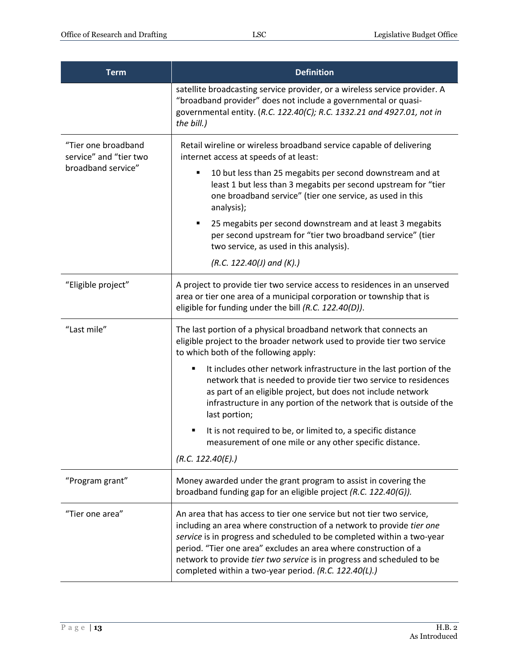| <b>Term</b>                                   | <b>Definition</b>                                                                                                                                                                                                                                                                                                                                                                                                               |
|-----------------------------------------------|---------------------------------------------------------------------------------------------------------------------------------------------------------------------------------------------------------------------------------------------------------------------------------------------------------------------------------------------------------------------------------------------------------------------------------|
|                                               | satellite broadcasting service provider, or a wireless service provider. A<br>"broadband provider" does not include a governmental or quasi-<br>governmental entity. (R.C. 122.40(C); R.C. 1332.21 and 4927.01, not in<br>the bill.)                                                                                                                                                                                            |
| "Tier one broadband<br>service" and "tier two | Retail wireline or wireless broadband service capable of delivering<br>internet access at speeds of at least:                                                                                                                                                                                                                                                                                                                   |
| broadband service"                            | 10 but less than 25 megabits per second downstream and at<br>٠<br>least 1 but less than 3 megabits per second upstream for "tier<br>one broadband service" (tier one service, as used in this<br>analysis);                                                                                                                                                                                                                     |
|                                               | 25 megabits per second downstream and at least 3 megabits<br>٠<br>per second upstream for "tier two broadband service" (tier<br>two service, as used in this analysis).                                                                                                                                                                                                                                                         |
|                                               | $(R.C. 122.40)$ and $(K).$                                                                                                                                                                                                                                                                                                                                                                                                      |
| "Eligible project"                            | A project to provide tier two service access to residences in an unserved<br>area or tier one area of a municipal corporation or township that is<br>eligible for funding under the bill (R.C. 122.40(D)).                                                                                                                                                                                                                      |
| "Last mile"                                   | The last portion of a physical broadband network that connects an<br>eligible project to the broader network used to provide tier two service<br>to which both of the following apply:                                                                                                                                                                                                                                          |
|                                               | It includes other network infrastructure in the last portion of the<br>п<br>network that is needed to provide tier two service to residences<br>as part of an eligible project, but does not include network<br>infrastructure in any portion of the network that is outside of the<br>last portion;                                                                                                                            |
|                                               | It is not required to be, or limited to, a specific distance<br>measurement of one mile or any other specific distance.<br>(R.C. 122.40(E).)                                                                                                                                                                                                                                                                                    |
| "Program grant"                               | Money awarded under the grant program to assist in covering the<br>broadband funding gap for an eligible project (R.C. 122.40(G)).                                                                                                                                                                                                                                                                                              |
| "Tier one area"                               | An area that has access to tier one service but not tier two service,<br>including an area where construction of a network to provide tier one<br>service is in progress and scheduled to be completed within a two-year<br>period. "Tier one area" excludes an area where construction of a<br>network to provide tier two service is in progress and scheduled to be<br>completed within a two-year period. (R.C. 122.40(L).) |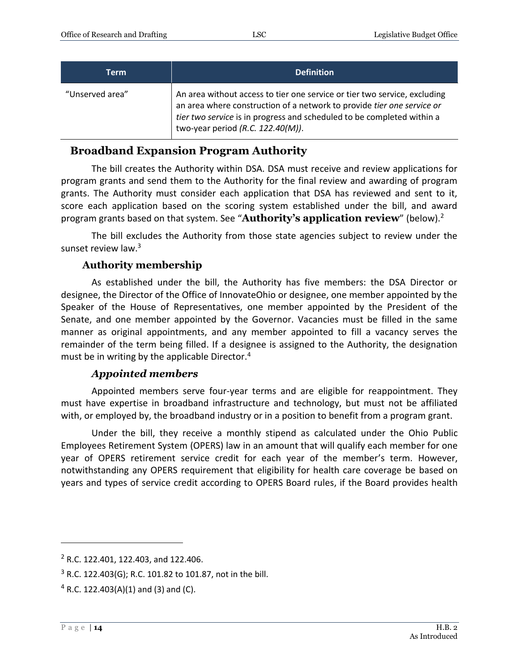| Term            | <b>Definition</b>                                                                                                                                                                                                                                                    |
|-----------------|----------------------------------------------------------------------------------------------------------------------------------------------------------------------------------------------------------------------------------------------------------------------|
| "Unserved area" | An area without access to tier one service or tier two service, excluding<br>an area where construction of a network to provide tier one service or<br>tier two service is in progress and scheduled to be completed within a<br>two-year period $(R.C. 122.40(M)).$ |

# <span id="page-13-0"></span>**Broadband Expansion Program Authority**

The bill creates the Authority within DSA. DSA must receive and review applications for program grants and send them to the Authority for the final review and awarding of program grants. The Authority must consider each application that DSA has reviewed and sent to it, score each application based on the scoring system established under the bill, and award program grants based on that system. See "**Authority's application review**" (below). 2

The bill excludes the Authority from those state agencies subject to review under the sunset review law.<sup>3</sup>

#### **Authority membership**

<span id="page-13-1"></span>As established under the bill, the Authority has five members: the DSA Director or designee, the Director of the Office of InnovateOhio or designee, one member appointed by the Speaker of the House of Representatives, one member appointed by the President of the Senate, and one member appointed by the Governor. Vacancies must be filled in the same manner as original appointments, and any member appointed to fill a vacancy serves the remainder of the term being filled. If a designee is assigned to the Authority, the designation must be in writing by the applicable Director.<sup>4</sup>

#### *Appointed members*

<span id="page-13-2"></span>Appointed members serve four-year terms and are eligible for reappointment. They must have expertise in broadband infrastructure and technology, but must not be affiliated with, or employed by, the broadband industry or in a position to benefit from a program grant.

Under the bill, they receive a monthly stipend as calculated under the Ohio Public Employees Retirement System (OPERS) law in an amount that will qualify each member for one year of OPERS retirement service credit for each year of the member's term. However, notwithstanding any OPERS requirement that eligibility for health care coverage be based on years and types of service credit according to OPERS Board rules, if the Board provides health

<sup>2</sup> R.C. 122.401, 122.403, and 122.406.

<sup>3</sup> R.C. 122.403(G); R.C. 101.82 to 101.87, not in the bill.

 $4$  R.C. 122.403(A)(1) and (3) and (C).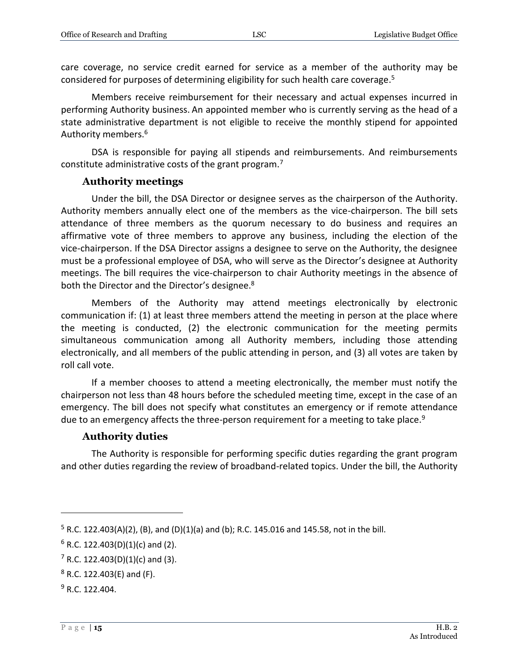care coverage, no service credit earned for service as a member of the authority may be considered for purposes of determining eligibility for such health care coverage. 5

Members receive reimbursement for their necessary and actual expenses incurred in performing Authority business. An appointed member who is currently serving as the head of a state administrative department is not eligible to receive the monthly stipend for appointed Authority members.<sup>6</sup>

DSA is responsible for paying all stipends and reimbursements. And reimbursements constitute administrative costs of the grant program.<sup>7</sup>

#### **Authority meetings**

<span id="page-14-0"></span>Under the bill, the DSA Director or designee serves as the chairperson of the Authority. Authority members annually elect one of the members as the vice-chairperson. The bill sets attendance of three members as the quorum necessary to do business and requires an affirmative vote of three members to approve any business, including the election of the vice-chairperson. If the DSA Director assigns a designee to serve on the Authority, the designee must be a professional employee of DSA, who will serve as the Director's designee at Authority meetings. The bill requires the vice-chairperson to chair Authority meetings in the absence of both the Director and the Director's designee.<sup>8</sup>

Members of the Authority may attend meetings electronically by electronic communication if: (1) at least three members attend the meeting in person at the place where the meeting is conducted, (2) the electronic communication for the meeting permits simultaneous communication among all Authority members, including those attending electronically, and all members of the public attending in person, and (3) all votes are taken by roll call vote.

If a member chooses to attend a meeting electronically, the member must notify the chairperson not less than 48 hours before the scheduled meeting time, except in the case of an emergency. The bill does not specify what constitutes an emergency or if remote attendance due to an emergency affects the three-person requirement for a meeting to take place.<sup>9</sup>

#### **Authority duties**

<span id="page-14-1"></span>The Authority is responsible for performing specific duties regarding the grant program and other duties regarding the review of broadband-related topics. Under the bill, the Authority

 $5$  R.C. 122.403(A)(2), (B), and (D)(1)(a) and (b); R.C. 145.016 and 145.58, not in the bill.

 $6$  R.C. 122.403(D)(1)(c) and (2).

 $7$  R.C. 122.403(D)(1)(c) and (3).

 $8$  R.C. 122.403(E) and (F).

 $9 R. C. 122.404.$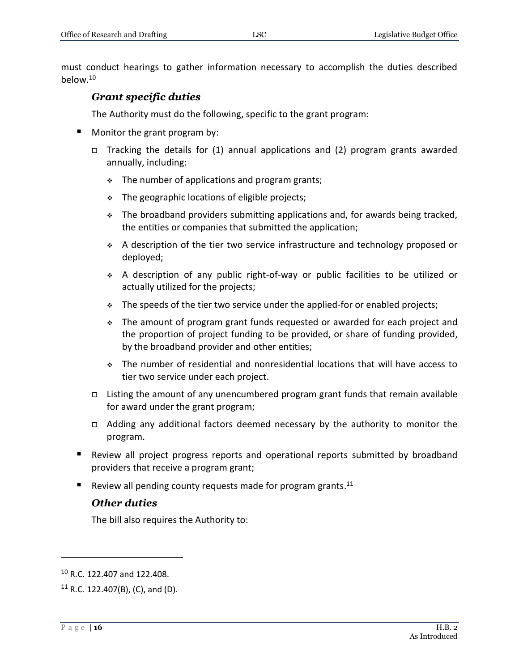<span id="page-15-0"></span>must conduct hearings to gather information necessary to accomplish the duties described below.<sup>10</sup>

#### *Grant specific duties*

The Authority must do the following, specific to the grant program:

- **Monitor the grant program by:** 
	- $\Box$  Tracking the details for (1) annual applications and (2) program grants awarded annually, including:
		- $\div$  The number of applications and program grants;
		- $\cdot$  The geographic locations of eligible projects;
		- $\div$  The broadband providers submitting applications and, for awards being tracked, the entities or companies that submitted the application;
		- A description of the tier two service infrastructure and technology proposed or deployed;
		- A description of any public right-of-way or public facilities to be utilized or actually utilized for the projects;
		- $\div$  The speeds of the tier two service under the applied-for or enabled projects;
		- The amount of program grant funds requested or awarded for each project and the proportion of project funding to be provided, or share of funding provided, by the broadband provider and other entities;
		- The number of residential and nonresidential locations that will have access to tier two service under each project.
	- □ Listing the amount of any unencumbered program grant funds that remain available for award under the grant program;
	- Adding any additional factors deemed necessary by the authority to monitor the program.
- Review all project progress reports and operational reports submitted by broadband providers that receive a program grant;
- <span id="page-15-1"></span>Review all pending county requests made for program grants.<sup>11</sup>

#### *Other duties*

The bill also requires the Authority to:

<sup>10</sup> R.C. 122.407 and 122.408.

 $11$  R.C. 122.407(B), (C), and (D).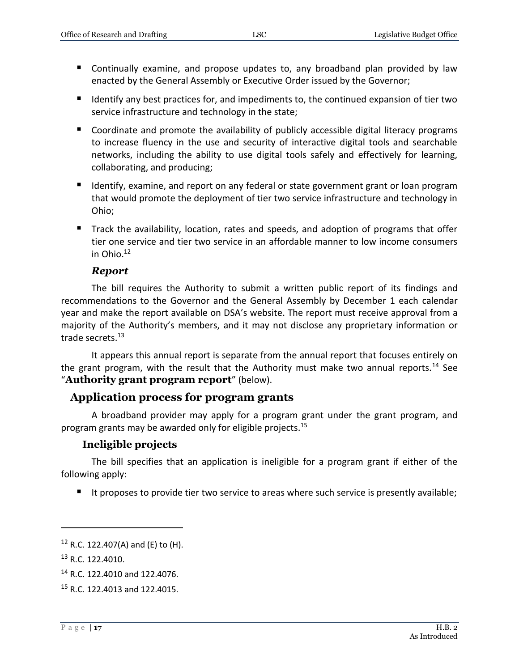- Continually examine, and propose updates to, any broadband plan provided by law enacted by the General Assembly or Executive Order issued by the Governor;
- Identify any best practices for, and impediments to, the continued expansion of tier two service infrastructure and technology in the state;
- Coordinate and promote the availability of publicly accessible digital literacy programs to increase fluency in the use and security of interactive digital tools and searchable networks, including the ability to use digital tools safely and effectively for learning, collaborating, and producing;
- **If Identify, examine, and report on any federal or state government grant or loan program** that would promote the deployment of tier two service infrastructure and technology in Ohio;
- Track the availability, location, rates and speeds, and adoption of programs that offer tier one service and tier two service in an affordable manner to low income consumers in Ohio. $12$

#### *Report*

<span id="page-16-0"></span>The bill requires the Authority to submit a written public report of its findings and recommendations to the Governor and the General Assembly by December 1 each calendar year and make the report available on DSA's website. The report must receive approval from a majority of the Authority's members, and it may not disclose any proprietary information or trade secrets. 13

It appears this annual report is separate from the annual report that focuses entirely on the grant program, with the result that the Authority must make two annual reports.<sup>14</sup> See "**Authority grant program report**" (below).

#### <span id="page-16-1"></span>**Application process for program grants**

A broadband provider may apply for a program grant under the grant program, and program grants may be awarded only for eligible projects.<sup>15</sup>

#### **Ineligible projects**

<span id="page-16-2"></span>The bill specifies that an application is ineligible for a program grant if either of the following apply:

It proposes to provide tier two service to areas where such service is presently available;

 $12$  R.C. 122.407(A) and (E) to (H).

<sup>&</sup>lt;sup>13</sup> R.C. 122.4010.

<sup>14</sup> R.C. 122.4010 and 122.4076.

<sup>15</sup> R.C. 122.4013 and 122.4015.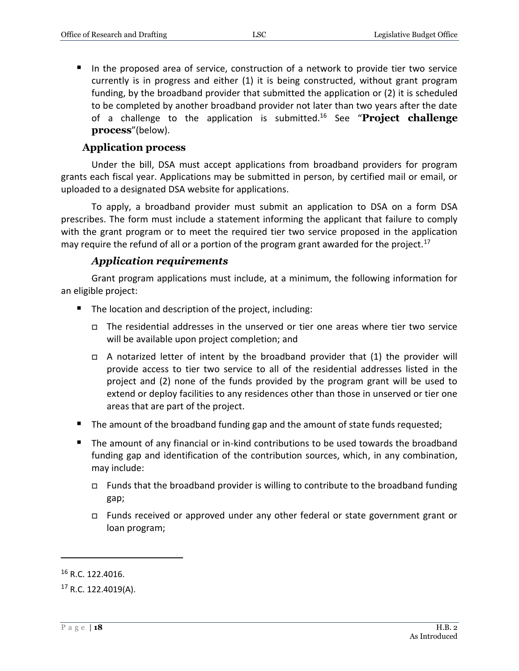In the proposed area of service, construction of a network to provide tier two service currently is in progress and either (1) it is being constructed, without grant program funding, by the broadband provider that submitted the application or (2) it is scheduled to be completed by another broadband provider not later than two years after the date of a challenge to the application is submitted. <sup>16</sup> See "**Project challenge process**"(below).

#### **Application process**

<span id="page-17-0"></span>Under the bill, DSA must accept applications from broadband providers for program grants each fiscal year. Applications may be submitted in person, by certified mail or email, or uploaded to a designated DSA website for applications.

To apply, a broadband provider must submit an application to DSA on a form DSA prescribes. The form must include a statement informing the applicant that failure to comply with the grant program or to meet the required tier two service proposed in the application may require the refund of all or a portion of the program grant awarded for the project.<sup>17</sup>

#### *Application requirements*

<span id="page-17-1"></span>Grant program applications must include, at a minimum, the following information for an eligible project:

- The location and description of the project, including:
	- $\Box$  The residential addresses in the unserved or tier one areas where tier two service will be available upon project completion; and
	- $\Box$  A notarized letter of intent by the broadband provider that (1) the provider will provide access to tier two service to all of the residential addresses listed in the project and (2) none of the funds provided by the program grant will be used to extend or deploy facilities to any residences other than those in unserved or tier one areas that are part of the project.
- The amount of the broadband funding gap and the amount of state funds requested;
- The amount of any financial or in-kind contributions to be used towards the broadband funding gap and identification of the contribution sources, which, in any combination, may include:
	- $\Box$  Funds that the broadband provider is willing to contribute to the broadband funding gap;
	- Funds received or approved under any other federal or state government grant or loan program;

<sup>16</sup> R.C. 122.4016.

<sup>17</sup> R.C. 122.4019(A).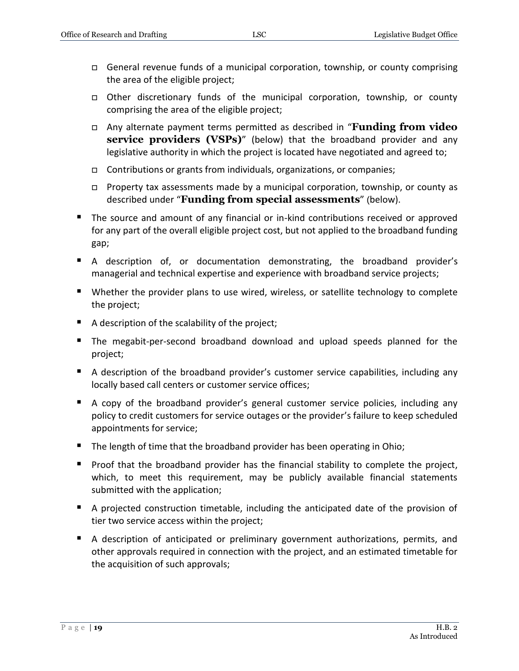- General revenue funds of a municipal corporation, township, or county comprising the area of the eligible project;
- Other discretionary funds of the municipal corporation, township, or county comprising the area of the eligible project;
- Any alternate payment terms permitted as described in "**Funding from video service providers (VSPs)**" (below) that the broadband provider and any legislative authority in which the project is located have negotiated and agreed to;
- Contributions or grants from individuals, organizations, or companies;
- Property tax assessments made by a municipal corporation, township, or county as described under "**Funding from special assessments**" (below).
- **The source and amount of any financial or in-kind contributions received or approved** for any part of the overall eligible project cost, but not applied to the broadband funding gap;
- A description of, or documentation demonstrating, the broadband provider's managerial and technical expertise and experience with broadband service projects;
- Whether the provider plans to use wired, wireless, or satellite technology to complete the project;
- A description of the scalability of the project;
- The megabit-per-second broadband download and upload speeds planned for the project;
- A description of the broadband provider's customer service capabilities, including any locally based call centers or customer service offices;
- A copy of the broadband provider's general customer service policies, including any policy to credit customers for service outages or the provider's failure to keep scheduled appointments for service;
- The length of time that the broadband provider has been operating in Ohio;
- **Proof that the broadband provider has the financial stability to complete the project,** which, to meet this requirement, may be publicly available financial statements submitted with the application;
- A projected construction timetable, including the anticipated date of the provision of tier two service access within the project;
- A description of anticipated or preliminary government authorizations, permits, and other approvals required in connection with the project, and an estimated timetable for the acquisition of such approvals;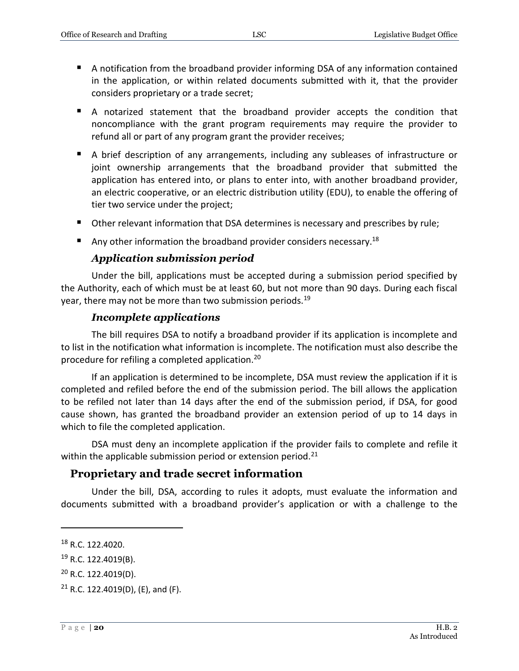- A notification from the broadband provider informing DSA of any information contained in the application, or within related documents submitted with it, that the provider considers proprietary or a trade secret;
- A notarized statement that the broadband provider accepts the condition that noncompliance with the grant program requirements may require the provider to refund all or part of any program grant the provider receives;
- A brief description of any arrangements, including any subleases of infrastructure or joint ownership arrangements that the broadband provider that submitted the application has entered into, or plans to enter into, with another broadband provider, an electric cooperative, or an electric distribution utility (EDU), to enable the offering of tier two service under the project;
- Other relevant information that DSA determines is necessary and prescribes by rule;
- Any other information the broadband provider considers necessary.<sup>18</sup>

#### *Application submission period*

<span id="page-19-0"></span>Under the bill, applications must be accepted during a submission period specified by the Authority, each of which must be at least 60, but not more than 90 days. During each fiscal year, there may not be more than two submission periods.<sup>19</sup>

#### *Incomplete applications*

<span id="page-19-1"></span>The bill requires DSA to notify a broadband provider if its application is incomplete and to list in the notification what information is incomplete. The notification must also describe the procedure for refiling a completed application.<sup>20</sup>

If an application is determined to be incomplete, DSA must review the application if it is completed and refiled before the end of the submission period. The bill allows the application to be refiled not later than 14 days after the end of the submission period, if DSA, for good cause shown, has granted the broadband provider an extension period of up to 14 days in which to file the completed application.

DSA must deny an incomplete application if the provider fails to complete and refile it within the applicable submission period or extension period.<sup>21</sup>

# <span id="page-19-2"></span>**Proprietary and trade secret information**

Under the bill, DSA, according to rules it adopts, must evaluate the information and documents submitted with a broadband provider's application or with a challenge to the

<sup>&</sup>lt;sup>18</sup> R.C. 122.4020.

<sup>19</sup> R.C. 122.4019(B).

<sup>20</sup> R.C. 122.4019(D).

 $21$  R.C. 122.4019(D), (E), and (F).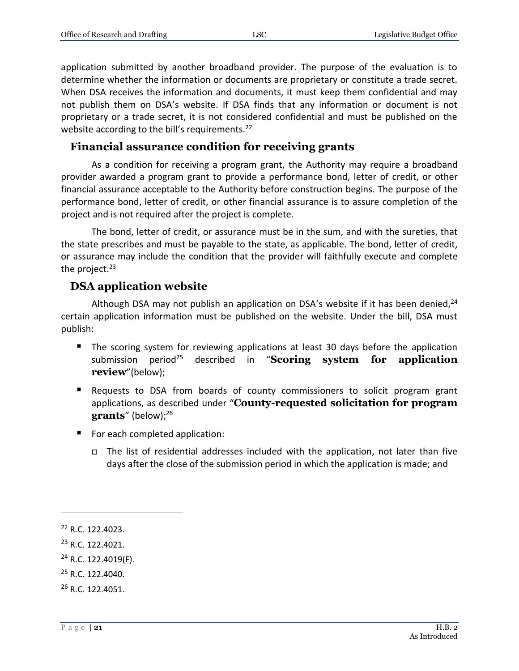application submitted by another broadband provider. The purpose of the evaluation is to determine whether the information or documents are proprietary or constitute a trade secret. When DSA receives the information and documents, it must keep them confidential and may not publish them on DSA's website. If DSA finds that any information or document is not proprietary or a trade secret, it is not considered confidential and must be published on the website according to the bill's requirements.<sup>22</sup>

### <span id="page-20-0"></span>**Financial assurance condition for receiving grants**

As a condition for receiving a program grant, the Authority may require a broadband provider awarded a program grant to provide a performance bond, letter of credit, or other financial assurance acceptable to the Authority before construction begins. The purpose of the performance bond, letter of credit, or other financial assurance is to assure completion of the project and is not required after the project is complete.

The bond, letter of credit, or assurance must be in the sum, and with the sureties, that the state prescribes and must be payable to the state, as applicable. The bond, letter of credit, or assurance may include the condition that the provider will faithfully execute and complete the project. $23$ 

# <span id="page-20-1"></span>**DSA application website**

Although DSA may not publish an application on DSA's website if it has been denied,  $24$ certain application information must be published on the website. Under the bill, DSA must publish:

- **The scoring system for reviewing applications at least 30 days before the application** submission period<sup>25</sup> described in "**Scoring system for application review**"(below);
- Requests to DSA from boards of county commissioners to solicit program grant applications, as described under "**County-requested solicitation for program**  grants" (below);<sup>26</sup>
- For each completed application:
	- □ The list of residential addresses included with the application, not later than five days after the close of the submission period in which the application is made; and

 $\overline{a}$ 

<sup>25</sup> R.C. 122.4040.

<sup>22</sup> R.C. 122.4023.

<sup>23</sup> R.C. 122.4021.

<sup>24</sup> R.C. 122.4019(F).

<sup>26</sup> R.C. 122.4051.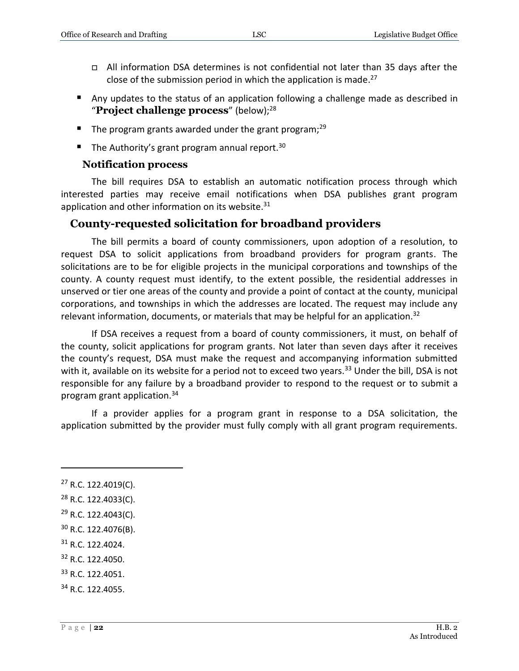- All information DSA determines is not confidential not later than 35 days after the close of the submission period in which the application is made. 27
- Any updates to the status of an application following a challenge made as described in "**Project challenge process**" (below);<sup>28</sup>
- The program grants awarded under the grant program;<sup>29</sup>
- The Authority's grant program annual report.<sup>30</sup>

#### **Notification process**

<span id="page-21-0"></span>The bill requires DSA to establish an automatic notification process through which interested parties may receive email notifications when DSA publishes grant program application and other information on its website. $31$ 

#### <span id="page-21-1"></span>**County-requested solicitation for broadband providers**

The bill permits a board of county commissioners, upon adoption of a resolution, to request DSA to solicit applications from broadband providers for program grants. The solicitations are to be for eligible projects in the municipal corporations and townships of the county. A county request must identify, to the extent possible, the residential addresses in unserved or tier one areas of the county and provide a point of contact at the county, municipal corporations, and townships in which the addresses are located. The request may include any relevant information, documents, or materials that may be helpful for an application.<sup>32</sup>

If DSA receives a request from a board of county commissioners, it must, on behalf of the county, solicit applications for program grants. Not later than seven days after it receives the county's request, DSA must make the request and accompanying information submitted with it, available on its website for a period not to exceed two years.<sup>33</sup> Under the bill, DSA is not responsible for any failure by a broadband provider to respond to the request or to submit a program grant application.<sup>34</sup>

If a provider applies for a program grant in response to a DSA solicitation, the application submitted by the provider must fully comply with all grant program requirements.

- <sup>31</sup> R.C. 122.4024.
- <sup>32</sup> R.C. 122.4050.
- <sup>33</sup> R.C. 122.4051.

 $27$  R.C. 122.4019(C).

<sup>28</sup> R.C. 122.4033(C).

<sup>29</sup> R.C. 122.4043(C).

<sup>30</sup> R.C. 122.4076(B).

<sup>34</sup> R.C. 122.4055.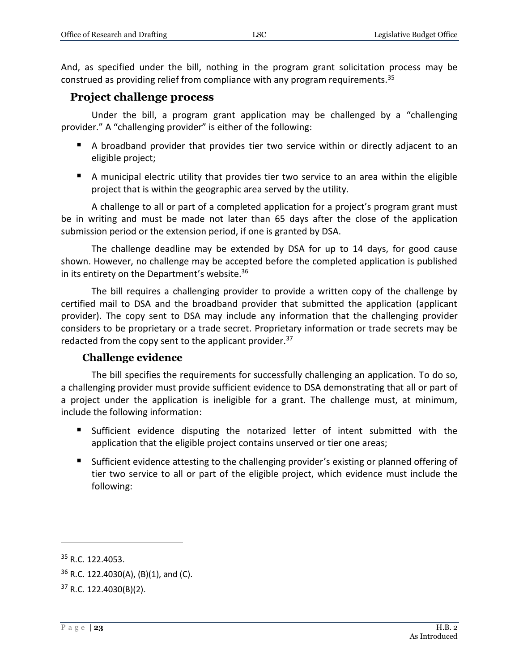And, as specified under the bill, nothing in the program grant solicitation process may be construed as providing relief from compliance with any program requirements.<sup>35</sup>

#### <span id="page-22-0"></span>**Project challenge process**

Under the bill, a program grant application may be challenged by a "challenging provider." A "challenging provider" is either of the following:

- A broadband provider that provides tier two service within or directly adjacent to an eligible project;
- A municipal electric utility that provides tier two service to an area within the eligible project that is within the geographic area served by the utility.

A challenge to all or part of a completed application for a project's program grant must be in writing and must be made not later than 65 days after the close of the application submission period or the extension period, if one is granted by DSA.

The challenge deadline may be extended by DSA for up to 14 days, for good cause shown. However, no challenge may be accepted before the completed application is published in its entirety on the Department's website. $36$ 

The bill requires a challenging provider to provide a written copy of the challenge by certified mail to DSA and the broadband provider that submitted the application (applicant provider). The copy sent to DSA may include any information that the challenging provider considers to be proprietary or a trade secret. Proprietary information or trade secrets may be redacted from the copy sent to the applicant provider.<sup>37</sup>

#### **Challenge evidence**

<span id="page-22-1"></span>The bill specifies the requirements for successfully challenging an application. To do so, a challenging provider must provide sufficient evidence to DSA demonstrating that all or part of a project under the application is ineligible for a grant. The challenge must, at minimum, include the following information:

- Sufficient evidence disputing the notarized letter of intent submitted with the application that the eligible project contains unserved or tier one areas;
- Sufficient evidence attesting to the challenging provider's existing or planned offering of tier two service to all or part of the eligible project, which evidence must include the following:

<sup>&</sup>lt;sup>35</sup> R.C. 122.4053.

 $36$  R.C. 122.4030(A), (B)(1), and (C).

 $37$  R.C. 122.4030(B)(2).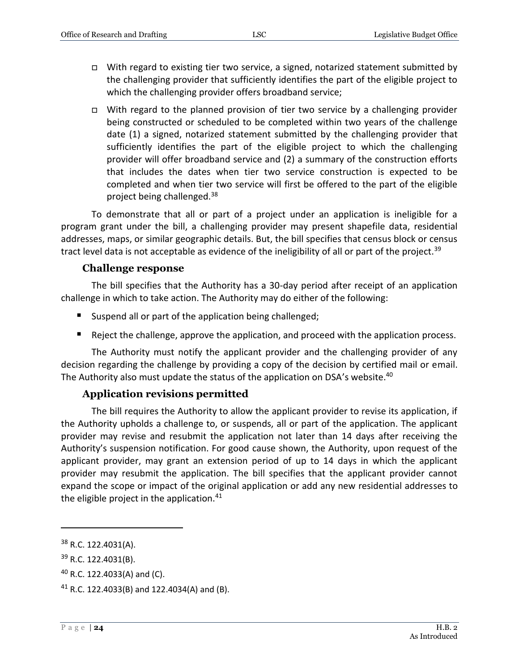- □ With regard to existing tier two service, a signed, notarized statement submitted by the challenging provider that sufficiently identifies the part of the eligible project to which the challenging provider offers broadband service;
- $\Box$  With regard to the planned provision of tier two service by a challenging provider being constructed or scheduled to be completed within two years of the challenge date (1) a signed, notarized statement submitted by the challenging provider that sufficiently identifies the part of the eligible project to which the challenging provider will offer broadband service and (2) a summary of the construction efforts that includes the dates when tier two service construction is expected to be completed and when tier two service will first be offered to the part of the eligible project being challenged.<sup>38</sup>

To demonstrate that all or part of a project under an application is ineligible for a program grant under the bill, a challenging provider may present shapefile data, residential addresses, maps, or similar geographic details. But, the bill specifies that census block or census tract level data is not acceptable as evidence of the ineligibility of all or part of the project.<sup>39</sup>

#### **Challenge response**

<span id="page-23-0"></span>The bill specifies that the Authority has a 30-day period after receipt of an application challenge in which to take action. The Authority may do either of the following:

- Suspend all or part of the application being challenged;
- Reject the challenge, approve the application, and proceed with the application process.

The Authority must notify the applicant provider and the challenging provider of any decision regarding the challenge by providing a copy of the decision by certified mail or email. The Authority also must update the status of the application on DSA's website.<sup>40</sup>

#### **Application revisions permitted**

<span id="page-23-1"></span>The bill requires the Authority to allow the applicant provider to revise its application, if the Authority upholds a challenge to, or suspends, all or part of the application. The applicant provider may revise and resubmit the application not later than 14 days after receiving the Authority's suspension notification. For good cause shown, the Authority, upon request of the applicant provider, may grant an extension period of up to 14 days in which the applicant provider may resubmit the application. The bill specifies that the applicant provider cannot expand the scope or impact of the original application or add any new residential addresses to the eligible project in the application. $41$ 

<sup>&</sup>lt;sup>38</sup> R.C. 122.4031(A).

<sup>39</sup> R.C. 122.4031(B).

 $40$  R.C. 122.4033(A) and (C).

 $41$  R.C. 122.4033(B) and 122.4034(A) and (B).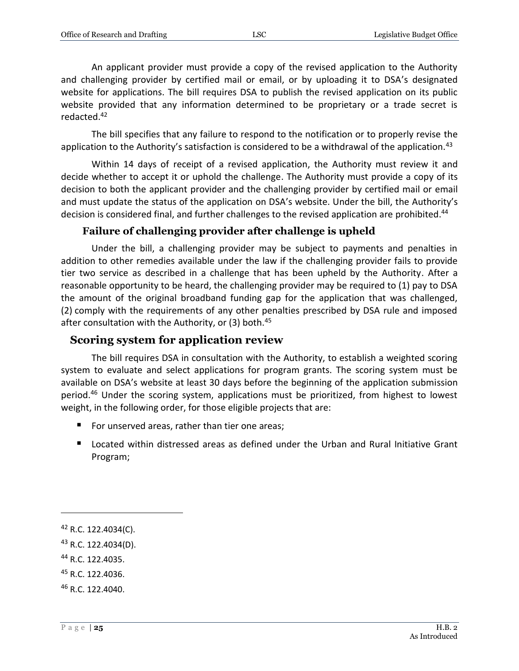An applicant provider must provide a copy of the revised application to the Authority and challenging provider by certified mail or email, or by uploading it to DSA's designated website for applications. The bill requires DSA to publish the revised application on its public website provided that any information determined to be proprietary or a trade secret is redacted.<sup>42</sup>

The bill specifies that any failure to respond to the notification or to properly revise the application to the Authority's satisfaction is considered to be a withdrawal of the application.<sup>43</sup>

Within 14 days of receipt of a revised application, the Authority must review it and decide whether to accept it or uphold the challenge. The Authority must provide a copy of its decision to both the applicant provider and the challenging provider by certified mail or email and must update the status of the application on DSA's website. Under the bill, the Authority's decision is considered final, and further challenges to the revised application are prohibited.<sup>44</sup>

#### **Failure of challenging provider after challenge is upheld**

<span id="page-24-0"></span>Under the bill, a challenging provider may be subject to payments and penalties in addition to other remedies available under the law if the challenging provider fails to provide tier two service as described in a challenge that has been upheld by the Authority. After a reasonable opportunity to be heard, the challenging provider may be required to (1) pay to DSA the amount of the original broadband funding gap for the application that was challenged, (2) comply with the requirements of any other penalties prescribed by DSA rule and imposed after consultation with the Authority, or (3) both.<sup>45</sup>

#### <span id="page-24-1"></span>**Scoring system for application review**

The bill requires DSA in consultation with the Authority, to establish a weighted scoring system to evaluate and select applications for program grants. The scoring system must be available on DSA's website at least 30 days before the beginning of the application submission period.<sup>46</sup> Under the scoring system, applications must be prioritized, from highest to lowest weight, in the following order, for those eligible projects that are:

- For unserved areas, rather than tier one areas;
- Located within distressed areas as defined under the Urban and Rural Initiative Grant Program;

 $\overline{a}$ 

<sup>44</sup> R.C. 122.4035.

 $42$  R.C. 122.4034(C).

<sup>&</sup>lt;sup>43</sup> R.C. 122.4034(D).

<sup>45</sup> R.C. 122.4036.

<sup>46</sup> R.C. 122.4040.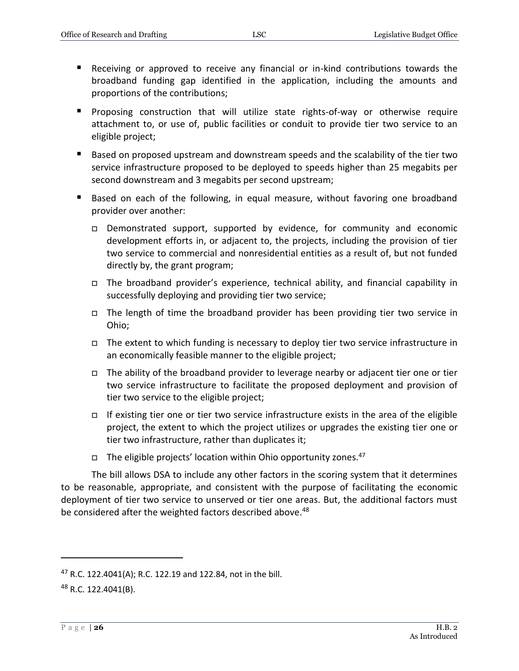- Receiving or approved to receive any financial or in-kind contributions towards the broadband funding gap identified in the application, including the amounts and proportions of the contributions;
- **Proposing construction that will utilize state rights-of-way or otherwise require** attachment to, or use of, public facilities or conduit to provide tier two service to an eligible project;
- Based on proposed upstream and downstream speeds and the scalability of the tier two service infrastructure proposed to be deployed to speeds higher than 25 megabits per second downstream and 3 megabits per second upstream;
- Based on each of the following, in equal measure, without favoring one broadband provider over another:
	- Demonstrated support, supported by evidence, for community and economic development efforts in, or adjacent to, the projects, including the provision of tier two service to commercial and nonresidential entities as a result of, but not funded directly by, the grant program;
	- The broadband provider's experience, technical ability, and financial capability in successfully deploying and providing tier two service;
	- $\Box$  The length of time the broadband provider has been providing tier two service in Ohio;
	- $\Box$  The extent to which funding is necessary to deploy tier two service infrastructure in an economically feasible manner to the eligible project;
	- □ The ability of the broadband provider to leverage nearby or adjacent tier one or tier two service infrastructure to facilitate the proposed deployment and provision of tier two service to the eligible project;
	- □ If existing tier one or tier two service infrastructure exists in the area of the eligible project, the extent to which the project utilizes or upgrades the existing tier one or tier two infrastructure, rather than duplicates it;
	- $\Box$  The eligible projects' location within Ohio opportunity zones.<sup>47</sup>

The bill allows DSA to include any other factors in the scoring system that it determines to be reasonable, appropriate, and consistent with the purpose of facilitating the economic deployment of tier two service to unserved or tier one areas. But, the additional factors must be considered after the weighted factors described above.<sup>48</sup>

<sup>47</sup> R.C. 122.4041(A); R.C. 122.19 and 122.84, not in the bill.

<sup>48</sup> R.C. 122.4041(B).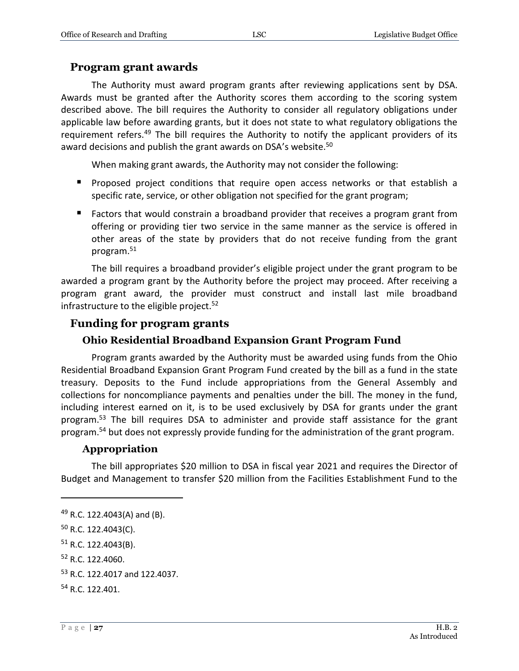#### <span id="page-26-0"></span>**Program grant awards**

The Authority must award program grants after reviewing applications sent by DSA. Awards must be granted after the Authority scores them according to the scoring system described above. The bill requires the Authority to consider all regulatory obligations under applicable law before awarding grants, but it does not state to what regulatory obligations the requirement refers.<sup>49</sup> The bill requires the Authority to notify the applicant providers of its award decisions and publish the grant awards on DSA's website.<sup>50</sup>

When making grant awards, the Authority may not consider the following:

- **Proposed project conditions that require open access networks or that establish a** specific rate, service, or other obligation not specified for the grant program;
- Factors that would constrain a broadband provider that receives a program grant from offering or providing tier two service in the same manner as the service is offered in other areas of the state by providers that do not receive funding from the grant program.<sup>51</sup>

The bill requires a broadband provider's eligible project under the grant program to be awarded a program grant by the Authority before the project may proceed. After receiving a program grant award, the provider must construct and install last mile broadband infrastructure to the eligible project. $52$ 

# <span id="page-26-1"></span>**Funding for program grants**

### **Ohio Residential Broadband Expansion Grant Program Fund**

<span id="page-26-2"></span>Program grants awarded by the Authority must be awarded using funds from the Ohio Residential Broadband Expansion Grant Program Fund created by the bill as a fund in the state treasury. Deposits to the Fund include appropriations from the General Assembly and collections for noncompliance payments and penalties under the bill. The money in the fund, including interest earned on it, is to be used exclusively by DSA for grants under the grant program.<sup>53</sup> The bill requires DSA to administer and provide staff assistance for the grant program.<sup>54</sup> but does not expressly provide funding for the administration of the grant program.

#### **Appropriation**

<span id="page-26-3"></span>The bill appropriates \$20 million to DSA in fiscal year 2021 and requires the Director of Budget and Management to transfer \$20 million from the Facilities Establishment Fund to the

<sup>49</sup> R.C. 122.4043(A) and (B).

<sup>50</sup> R.C. 122.4043(C).

<sup>51</sup> R.C. 122.4043(B).

<sup>52</sup> R.C. 122.4060.

<sup>53</sup> R.C. 122.4017 and 122.4037.

<sup>54</sup> R.C. 122.401.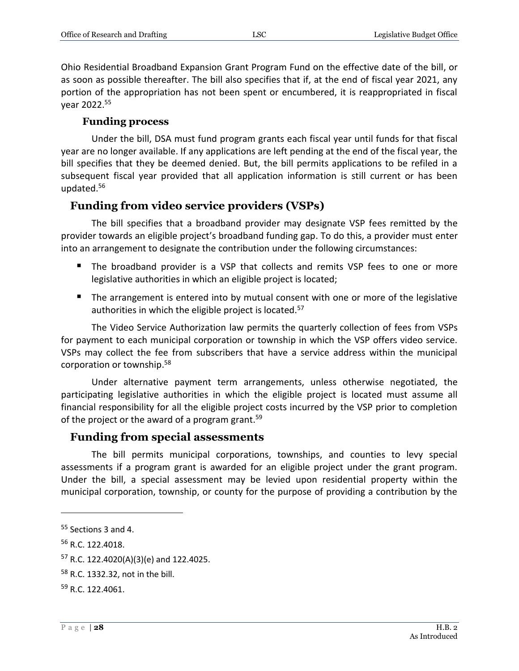Ohio Residential Broadband Expansion Grant Program Fund on the effective date of the bill, or as soon as possible thereafter. The bill also specifies that if, at the end of fiscal year 2021, any portion of the appropriation has not been spent or encumbered, it is reappropriated in fiscal year 2022. 55

#### **Funding process**

<span id="page-27-0"></span>Under the bill, DSA must fund program grants each fiscal year until funds for that fiscal year are no longer available. If any applications are left pending at the end of the fiscal year, the bill specifies that they be deemed denied. But, the bill permits applications to be refiled in a subsequent fiscal year provided that all application information is still current or has been updated.<sup>56</sup>

#### <span id="page-27-1"></span>**Funding from video service providers (VSPs)**

The bill specifies that a broadband provider may designate VSP fees remitted by the provider towards an eligible project's broadband funding gap. To do this, a provider must enter into an arrangement to designate the contribution under the following circumstances:

- The broadband provider is a VSP that collects and remits VSP fees to one or more legislative authorities in which an eligible project is located;
- The arrangement is entered into by mutual consent with one or more of the legislative authorities in which the eligible project is located.<sup>57</sup>

The Video Service Authorization law permits the quarterly collection of fees from VSPs for payment to each municipal corporation or township in which the VSP offers video service. VSPs may collect the fee from subscribers that have a service address within the municipal corporation or township. 58

Under alternative payment term arrangements, unless otherwise negotiated, the participating legislative authorities in which the eligible project is located must assume all financial responsibility for all the eligible project costs incurred by the VSP prior to completion of the project or the award of a program grant.<sup>59</sup>

#### <span id="page-27-2"></span>**Funding from special assessments**

The bill permits municipal corporations, townships, and counties to levy special assessments if a program grant is awarded for an eligible project under the grant program. Under the bill, a special assessment may be levied upon residential property within the municipal corporation, township, or county for the purpose of providing a contribution by the

<sup>55</sup> Sections 3 and 4.

<sup>56</sup> R.C. 122.4018.

 $57$  R.C. 122.4020(A)(3)(e) and 122.4025.

<sup>58</sup> R.C. 1332.32, not in the bill.

<sup>59</sup> R.C. 122.4061.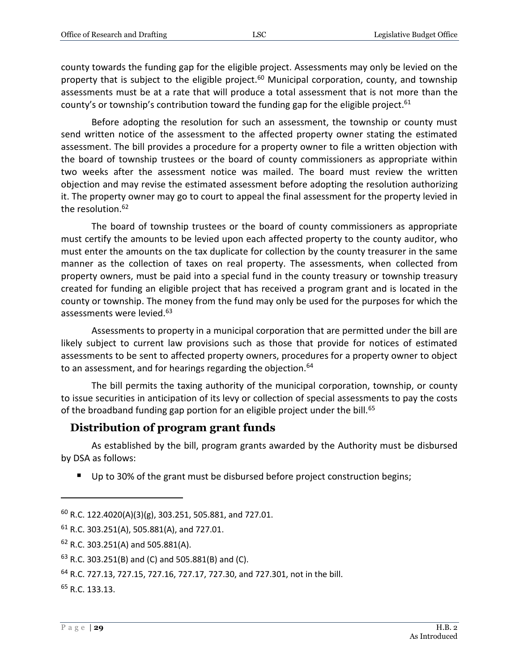county towards the funding gap for the eligible project. Assessments may only be levied on the property that is subject to the eligible project.<sup>60</sup> Municipal corporation, county, and township assessments must be at a rate that will produce a total assessment that is not more than the county's or township's contribution toward the funding gap for the eligible project.<sup>61</sup>

Before adopting the resolution for such an assessment, the township or county must send written notice of the assessment to the affected property owner stating the estimated assessment. The bill provides a procedure for a property owner to file a written objection with the board of township trustees or the board of county commissioners as appropriate within two weeks after the assessment notice was mailed. The board must review the written objection and may revise the estimated assessment before adopting the resolution authorizing it. The property owner may go to court to appeal the final assessment for the property levied in the resolution.<sup>62</sup>

The board of township trustees or the board of county commissioners as appropriate must certify the amounts to be levied upon each affected property to the county auditor, who must enter the amounts on the tax duplicate for collection by the county treasurer in the same manner as the collection of taxes on real property. The assessments, when collected from property owners, must be paid into a special fund in the county treasury or township treasury created for funding an eligible project that has received a program grant and is located in the county or township. The money from the fund may only be used for the purposes for which the assessments were levied.<sup>63</sup>

Assessments to property in a municipal corporation that are permitted under the bill are likely subject to current law provisions such as those that provide for notices of estimated assessments to be sent to affected property owners, procedures for a property owner to object to an assessment, and for hearings regarding the objection.<sup>64</sup>

The bill permits the taxing authority of the municipal corporation, township, or county to issue securities in anticipation of its levy or collection of special assessments to pay the costs of the broadband funding gap portion for an eligible project under the bill.<sup>65</sup>

# <span id="page-28-0"></span>**Distribution of program grant funds**

As established by the bill, program grants awarded by the Authority must be disbursed by DSA as follows:

■ Up to 30% of the grant must be disbursed before project construction begins;

<sup>65</sup> R.C. 133.13.

 $^{60}$  R.C. 122.4020(A)(3)(g), 303.251, 505.881, and 727.01.

 $61$  R.C. 303.251(A), 505.881(A), and 727.01.

<sup>62</sup> R.C. 303.251(A) and 505.881(A).

 $63$  R.C. 303.251(B) and (C) and 505.881(B) and (C).

<sup>64</sup> R.C. 727.13, 727.15, 727.16, 727.17, 727.30, and 727.301, not in the bill.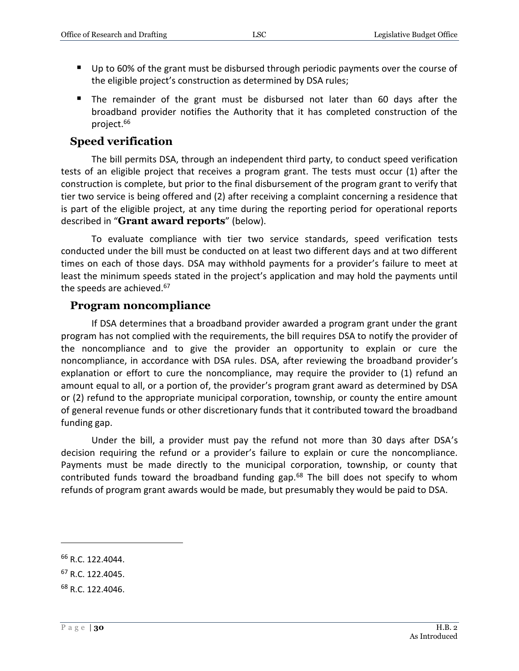- Up to 60% of the grant must be disbursed through periodic payments over the course of the eligible project's construction as determined by DSA rules;
- The remainder of the grant must be disbursed not later than 60 days after the broadband provider notifies the Authority that it has completed construction of the project.<sup>66</sup>

#### <span id="page-29-0"></span>**Speed verification**

The bill permits DSA, through an independent third party, to conduct speed verification tests of an eligible project that receives a program grant. The tests must occur (1) after the construction is complete, but prior to the final disbursement of the program grant to verify that tier two service is being offered and (2) after receiving a complaint concerning a residence that is part of the eligible project, at any time during the reporting period for operational reports described in "**Grant award reports**" (below).

To evaluate compliance with tier two service standards, speed verification tests conducted under the bill must be conducted on at least two different days and at two different times on each of those days. DSA may withhold payments for a provider's failure to meet at least the minimum speeds stated in the project's application and may hold the payments until the speeds are achieved.<sup>67</sup>

#### <span id="page-29-1"></span>**Program noncompliance**

If DSA determines that a broadband provider awarded a program grant under the grant program has not complied with the requirements, the bill requires DSA to notify the provider of the noncompliance and to give the provider an opportunity to explain or cure the noncompliance, in accordance with DSA rules. DSA, after reviewing the broadband provider's explanation or effort to cure the noncompliance, may require the provider to (1) refund an amount equal to all, or a portion of, the provider's program grant award as determined by DSA or (2) refund to the appropriate municipal corporation, township, or county the entire amount of general revenue funds or other discretionary funds that it contributed toward the broadband funding gap.

Under the bill, a provider must pay the refund not more than 30 days after DSA's decision requiring the refund or a provider's failure to explain or cure the noncompliance. Payments must be made directly to the municipal corporation, township, or county that contributed funds toward the broadband funding gap. $68$  The bill does not specify to whom refunds of program grant awards would be made, but presumably they would be paid to DSA.

<sup>66</sup> R.C. 122.4044.

<sup>67</sup> R.C. 122.4045.

<sup>68</sup> R.C. 122.4046.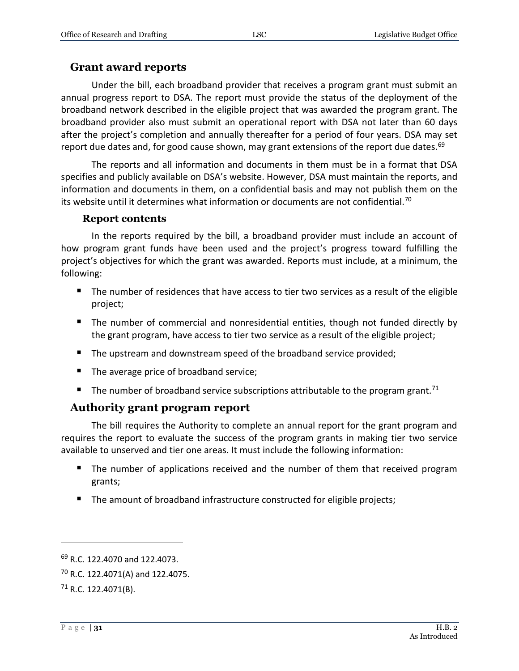#### <span id="page-30-0"></span>**Grant award reports**

Under the bill, each broadband provider that receives a program grant must submit an annual progress report to DSA. The report must provide the status of the deployment of the broadband network described in the eligible project that was awarded the program grant. The broadband provider also must submit an operational report with DSA not later than 60 days after the project's completion and annually thereafter for a period of four years. DSA may set report due dates and, for good cause shown, may grant extensions of the report due dates.<sup>69</sup>

The reports and all information and documents in them must be in a format that DSA specifies and publicly available on DSA's website. However, DSA must maintain the reports, and information and documents in them, on a confidential basis and may not publish them on the its website until it determines what information or documents are not confidential.<sup>70</sup>

#### **Report contents**

<span id="page-30-1"></span>In the reports required by the bill, a broadband provider must include an account of how program grant funds have been used and the project's progress toward fulfilling the project's objectives for which the grant was awarded. Reports must include, at a minimum, the following:

- The number of residences that have access to tier two services as a result of the eligible project;
- The number of commercial and nonresidential entities, though not funded directly by the grant program, have access to tier two service as a result of the eligible project;
- The upstream and downstream speed of the broadband service provided;
- The average price of broadband service;
- The number of broadband service subscriptions attributable to the program grant.<sup>71</sup>

#### <span id="page-30-2"></span>**Authority grant program report**

The bill requires the Authority to complete an annual report for the grant program and requires the report to evaluate the success of the program grants in making tier two service available to unserved and tier one areas. It must include the following information:

- The number of applications received and the number of them that received program grants;
- The amount of broadband infrastructure constructed for eligible projects;

<sup>69</sup> R.C. 122.4070 and 122.4073.

<sup>70</sup> R.C. 122.4071(A) and 122.4075.

 $71$  R.C. 122.4071(B).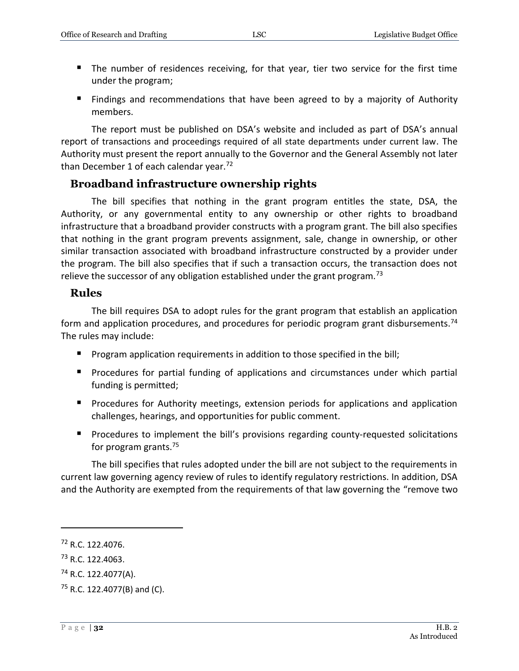- **The number of residences receiving, for that year, tier two service for the first time** under the program;
- Findings and recommendations that have been agreed to by a majority of Authority members.

The report must be published on DSA's website and included as part of DSA's annual report of transactions and proceedings required of all state departments under current law. The Authority must present the report annually to the Governor and the General Assembly not later than December 1 of each calendar year.<sup>72</sup>

# <span id="page-31-0"></span>**Broadband infrastructure ownership rights**

The bill specifies that nothing in the grant program entitles the state, DSA, the Authority, or any governmental entity to any ownership or other rights to broadband infrastructure that a broadband provider constructs with a program grant. The bill also specifies that nothing in the grant program prevents assignment, sale, change in ownership, or other similar transaction associated with broadband infrastructure constructed by a provider under the program. The bill also specifies that if such a transaction occurs, the transaction does not relieve the successor of any obligation established under the grant program.<sup>73</sup>

#### <span id="page-31-1"></span>**Rules**

The bill requires DSA to adopt rules for the grant program that establish an application form and application procedures, and procedures for periodic program grant disbursements.<sup>74</sup> The rules may include:

- **Program application requirements in addition to those specified in the bill;**
- **Procedures for partial funding of applications and circumstances under which partial** funding is permitted;
- **Perocedures for Authority meetings, extension periods for applications and application** challenges, hearings, and opportunities for public comment.
- **Procedures to implement the bill's provisions regarding county-requested solicitations** for program grants.<sup>75</sup>

The bill specifies that rules adopted under the bill are not subject to the requirements in current law governing agency review of rules to identify regulatory restrictions. In addition, DSA and the Authority are exempted from the requirements of that law governing the "remove two

<sup>72</sup> R.C. 122.4076.

<sup>73</sup> R.C. 122.4063.

<sup>74</sup> R.C. 122.4077(A).

 $75$  R.C. 122.4077(B) and (C).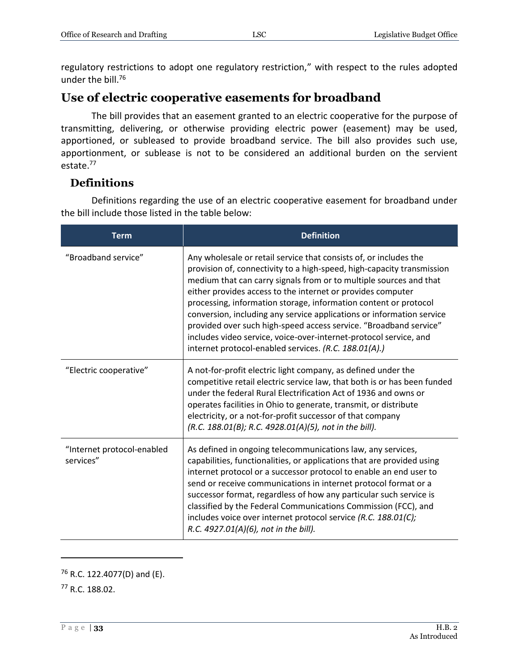regulatory restrictions to adopt one regulatory restriction," with respect to the rules adopted under the bill.<sup>76</sup>

# <span id="page-32-0"></span>**Use of electric cooperative easements for broadband**

The bill provides that an easement granted to an electric cooperative for the purpose of transmitting, delivering, or otherwise providing electric power (easement) may be used, apportioned, or subleased to provide broadband service. The bill also provides such use, apportionment, or sublease is not to be considered an additional burden on the servient estate.<sup>77</sup>

# <span id="page-32-1"></span>**Definitions**

Definitions regarding the use of an electric cooperative easement for broadband under the bill include those listed in the table below:

| <b>Term</b>                             | <b>Definition</b>                                                                                                                                                                                                                                                                                                                                                                                                                                                                                                                                                                                                                |
|-----------------------------------------|----------------------------------------------------------------------------------------------------------------------------------------------------------------------------------------------------------------------------------------------------------------------------------------------------------------------------------------------------------------------------------------------------------------------------------------------------------------------------------------------------------------------------------------------------------------------------------------------------------------------------------|
| "Broadband service"                     | Any wholesale or retail service that consists of, or includes the<br>provision of, connectivity to a high-speed, high-capacity transmission<br>medium that can carry signals from or to multiple sources and that<br>either provides access to the internet or provides computer<br>processing, information storage, information content or protocol<br>conversion, including any service applications or information service<br>provided over such high-speed access service. "Broadband service"<br>includes video service, voice-over-internet-protocol service, and<br>internet protocol-enabled services. (R.C. 188.01(A).) |
| "Electric cooperative"                  | A not-for-profit electric light company, as defined under the<br>competitive retail electric service law, that both is or has been funded<br>under the federal Rural Electrification Act of 1936 and owns or<br>operates facilities in Ohio to generate, transmit, or distribute<br>electricity, or a not-for-profit successor of that company<br>(R.C. 188.01(B); R.C. 4928.01(A)(5), not in the bill).                                                                                                                                                                                                                         |
| "Internet protocol-enabled<br>services" | As defined in ongoing telecommunications law, any services,<br>capabilities, functionalities, or applications that are provided using<br>internet protocol or a successor protocol to enable an end user to<br>send or receive communications in internet protocol format or a<br>successor format, regardless of how any particular such service is<br>classified by the Federal Communications Commission (FCC), and<br>includes voice over internet protocol service (R.C. 188.01(C);<br>R.C. 4927.01(A)(6), not in the bill).                                                                                                |

 $76$  R.C. 122.4077(D) and (E).

<sup>77</sup> R.C. 188.02.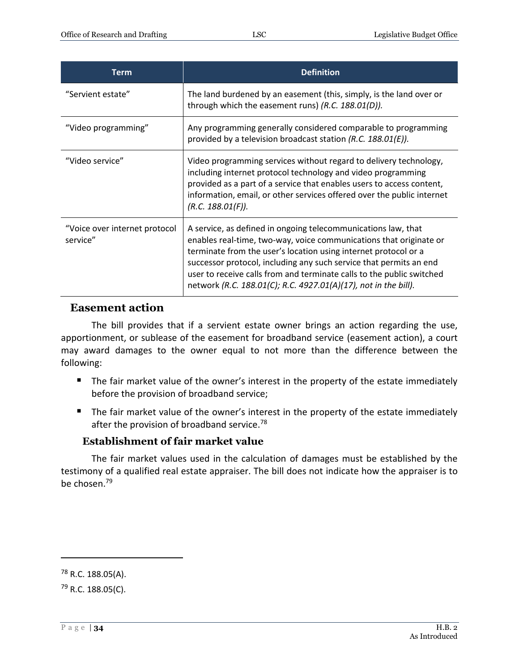| <b>Term</b>                               | <b>Definition</b>                                                                                                                                                                                                                                                                                                                                                                                                        |
|-------------------------------------------|--------------------------------------------------------------------------------------------------------------------------------------------------------------------------------------------------------------------------------------------------------------------------------------------------------------------------------------------------------------------------------------------------------------------------|
| "Servient estate"                         | The land burdened by an easement (this, simply, is the land over or<br>through which the easement runs) (R.C. 188.01(D)).                                                                                                                                                                                                                                                                                                |
| "Video programming"                       | Any programming generally considered comparable to programming<br>provided by a television broadcast station (R.C. 188.01(E)).                                                                                                                                                                                                                                                                                           |
| "Video service"                           | Video programming services without regard to delivery technology,<br>including internet protocol technology and video programming<br>provided as a part of a service that enables users to access content,<br>information, email, or other services offered over the public internet<br>(R.C. 188.01(F)).                                                                                                                |
| "Voice over internet protocol<br>service" | A service, as defined in ongoing telecommunications law, that<br>enables real-time, two-way, voice communications that originate or<br>terminate from the user's location using internet protocol or a<br>successor protocol, including any such service that permits an end<br>user to receive calls from and terminate calls to the public switched<br>network (R.C. 188.01(C); R.C. 4927.01(A)(17), not in the bill). |

#### <span id="page-33-0"></span>**Easement action**

The bill provides that if a servient estate owner brings an action regarding the use, apportionment, or sublease of the easement for broadband service (easement action), a court may award damages to the owner equal to not more than the difference between the following:

- The fair market value of the owner's interest in the property of the estate immediately before the provision of broadband service;
- The fair market value of the owner's interest in the property of the estate immediately after the provision of broadband service.<sup>78</sup>

#### **Establishment of fair market value**

<span id="page-33-1"></span>The fair market values used in the calculation of damages must be established by the testimony of a qualified real estate appraiser. The bill does not indicate how the appraiser is to be chosen.<sup>79</sup>

<sup>78</sup> R.C. 188.05(A).

<sup>79</sup> R.C. 188.05(C).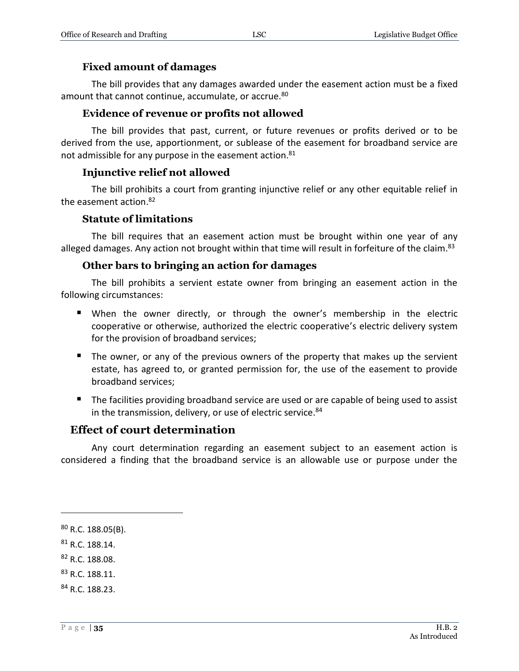#### **Fixed amount of damages**

<span id="page-34-0"></span>The bill provides that any damages awarded under the easement action must be a fixed amount that cannot continue, accumulate, or accrue.<sup>80</sup>

#### **Evidence of revenue or profits not allowed**

<span id="page-34-1"></span>The bill provides that past, current, or future revenues or profits derived or to be derived from the use, apportionment, or sublease of the easement for broadband service are not admissible for any purpose in the easement action.<sup>81</sup>

#### **Injunctive relief not allowed**

<span id="page-34-2"></span>The bill prohibits a court from granting injunctive relief or any other equitable relief in the easement action. 82

#### **Statute of limitations**

<span id="page-34-3"></span>The bill requires that an easement action must be brought within one year of any alleged damages. Any action not brought within that time will result in forfeiture of the claim.<sup>83</sup>

#### **Other bars to bringing an action for damages**

<span id="page-34-4"></span>The bill prohibits a servient estate owner from bringing an easement action in the following circumstances:

- When the owner directly, or through the owner's membership in the electric cooperative or otherwise, authorized the electric cooperative's electric delivery system for the provision of broadband services;
- The owner, or any of the previous owners of the property that makes up the servient estate, has agreed to, or granted permission for, the use of the easement to provide broadband services;
- The facilities providing broadband service are used or are capable of being used to assist in the transmission, delivery, or use of electric service. $84$

#### <span id="page-34-5"></span>**Effect of court determination**

Any court determination regarding an easement subject to an easement action is considered a finding that the broadband service is an allowable use or purpose under the

 $\overline{a}$ 

<sup>82</sup> R.C. 188.08.

<sup>80</sup> R.C. 188.05(B).

<sup>81</sup> R.C. 188.14.

<sup>83</sup> R.C. 188.11.

<sup>84</sup> R.C. 188.23.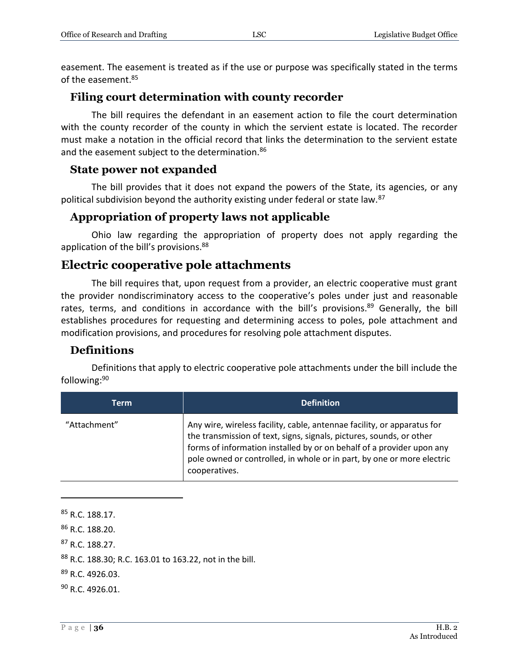easement. The easement is treated as if the use or purpose was specifically stated in the terms of the easement.<sup>85</sup>

# <span id="page-35-0"></span>**Filing court determination with county recorder**

The bill requires the defendant in an easement action to file the court determination with the county recorder of the county in which the servient estate is located. The recorder must make a notation in the official record that links the determination to the servient estate and the easement subject to the determination.<sup>86</sup>

#### <span id="page-35-1"></span>**State power not expanded**

The bill provides that it does not expand the powers of the State, its agencies, or any political subdivision beyond the authority existing under federal or state law.<sup>87</sup>

# <span id="page-35-2"></span>**Appropriation of property laws not applicable**

Ohio law regarding the appropriation of property does not apply regarding the application of the bill's provisions.<sup>88</sup>

# <span id="page-35-3"></span>**Electric cooperative pole attachments**

The bill requires that, upon request from a provider, an electric cooperative must grant the provider nondiscriminatory access to the cooperative's poles under just and reasonable rates, terms, and conditions in accordance with the bill's provisions.<sup>89</sup> Generally, the bill establishes procedures for requesting and determining access to poles, pole attachment and modification provisions, and procedures for resolving pole attachment disputes.

# <span id="page-35-4"></span>**Definitions**

Definitions that apply to electric cooperative pole attachments under the bill include the following:<sup>90</sup>

| Term         | <b>Definition</b>                                                                                                                                                                                                                                                                                                   |
|--------------|---------------------------------------------------------------------------------------------------------------------------------------------------------------------------------------------------------------------------------------------------------------------------------------------------------------------|
| "Attachment" | Any wire, wireless facility, cable, antennae facility, or apparatus for<br>the transmission of text, signs, signals, pictures, sounds, or other<br>forms of information installed by or on behalf of a provider upon any<br>pole owned or controlled, in whole or in part, by one or more electric<br>cooperatives. |

 R.C. 188.17. R.C. 188.20. R.C. 188.27. R.C. 188.30; R.C. 163.01 to 163.22, not in the bill. R.C. 4926.03. R.C. 4926.01.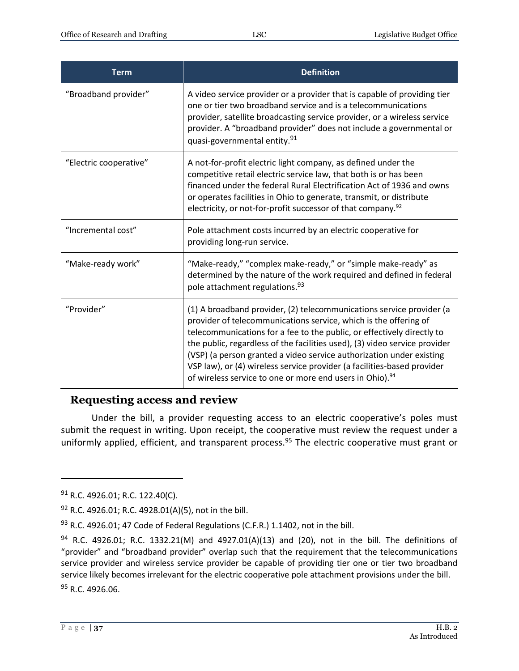| <b>Term</b>            | <b>Definition</b>                                                                                                                                                                                                                                                                                                                                                                                                                                                                                                           |
|------------------------|-----------------------------------------------------------------------------------------------------------------------------------------------------------------------------------------------------------------------------------------------------------------------------------------------------------------------------------------------------------------------------------------------------------------------------------------------------------------------------------------------------------------------------|
| "Broadband provider"   | A video service provider or a provider that is capable of providing tier<br>one or tier two broadband service and is a telecommunications<br>provider, satellite broadcasting service provider, or a wireless service<br>provider. A "broadband provider" does not include a governmental or<br>quasi-governmental entity. <sup>91</sup>                                                                                                                                                                                    |
| "Electric cooperative" | A not-for-profit electric light company, as defined under the<br>competitive retail electric service law, that both is or has been<br>financed under the federal Rural Electrification Act of 1936 and owns<br>or operates facilities in Ohio to generate, transmit, or distribute<br>electricity, or not-for-profit successor of that company. <sup>92</sup>                                                                                                                                                               |
| "Incremental cost"     | Pole attachment costs incurred by an electric cooperative for<br>providing long-run service.                                                                                                                                                                                                                                                                                                                                                                                                                                |
| "Make-ready work"      | "Make-ready," "complex make-ready," or "simple make-ready" as<br>determined by the nature of the work required and defined in federal<br>pole attachment regulations. <sup>93</sup>                                                                                                                                                                                                                                                                                                                                         |
| "Provider"             | (1) A broadband provider, (2) telecommunications service provider (a<br>provider of telecommunications service, which is the offering of<br>telecommunications for a fee to the public, or effectively directly to<br>the public, regardless of the facilities used), (3) video service provider<br>(VSP) (a person granted a video service authorization under existing<br>VSP law), or (4) wireless service provider (a facilities-based provider<br>of wireless service to one or more end users in Ohio). <sup>94</sup> |

# <span id="page-36-0"></span>**Requesting access and review**

Under the bill, a provider requesting access to an electric cooperative's poles must submit the request in writing. Upon receipt, the cooperative must review the request under a uniformly applied, efficient, and transparent process.<sup>95</sup> The electric cooperative must grant or

<sup>91</sup> R.C. 4926.01; R.C. 122.40(C).

<sup>&</sup>lt;sup>92</sup> R.C. 4926.01; R.C. 4928.01(A)(5), not in the bill.

 $93$  R.C. 4926.01; 47 Code of Federal Regulations (C.F.R.) 1.1402, not in the bill.

 $94$  R.C. 4926.01; R.C. 1332.21(M) and 4927.01(A)(13) and (20), not in the bill. The definitions of "provider" and "broadband provider" overlap such that the requirement that the telecommunications service provider and wireless service provider be capable of providing tier one or tier two broadband service likely becomes irrelevant for the electric cooperative pole attachment provisions under the bill. <sup>95</sup> R.C. 4926.06.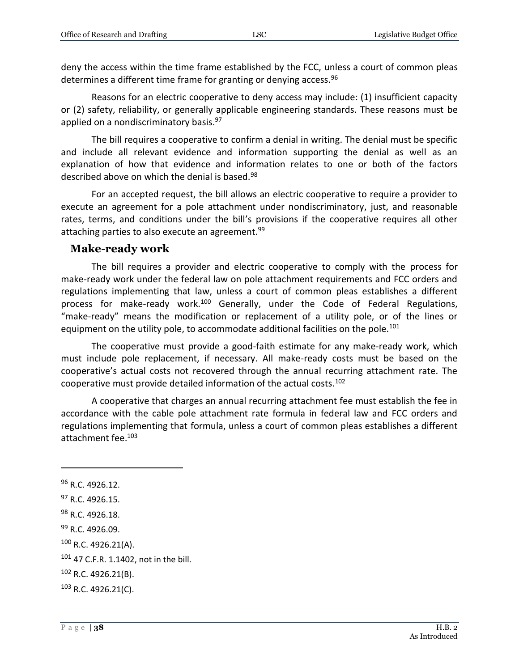deny the access within the time frame established by the FCC, unless a court of common pleas determines a different time frame for granting or denying access.<sup>96</sup>

Reasons for an electric cooperative to deny access may include: (1) insufficient capacity or (2) safety, reliability, or generally applicable engineering standards. These reasons must be applied on a nondiscriminatory basis.<sup>97</sup>

The bill requires a cooperative to confirm a denial in writing. The denial must be specific and include all relevant evidence and information supporting the denial as well as an explanation of how that evidence and information relates to one or both of the factors described above on which the denial is based.<sup>98</sup>

For an accepted request, the bill allows an electric cooperative to require a provider to execute an agreement for a pole attachment under nondiscriminatory, just, and reasonable rates, terms, and conditions under the bill's provisions if the cooperative requires all other attaching parties to also execute an agreement.<sup>99</sup>

#### <span id="page-37-0"></span>**Make-ready work**

The bill requires a provider and electric cooperative to comply with the process for make-ready work under the federal law on pole attachment requirements and FCC orders and regulations implementing that law, unless a court of common pleas establishes a different process for make-ready work.<sup>100</sup> Generally, under the Code of Federal Regulations, "make-ready" means the modification or replacement of a utility pole, or of the lines or equipment on the utility pole, to accommodate additional facilities on the pole.<sup>101</sup>

The cooperative must provide a good-faith estimate for any make-ready work, which must include pole replacement, if necessary. All make-ready costs must be based on the cooperative's actual costs not recovered through the annual recurring attachment rate. The cooperative must provide detailed information of the actual costs.<sup>102</sup>

A cooperative that charges an annual recurring attachment fee must establish the fee in accordance with the cable pole attachment rate formula in federal law and FCC orders and regulations implementing that formula, unless a court of common pleas establishes a different attachment fee.<sup>103</sup>

<sup>&</sup>lt;sup>96</sup> R.C. 4926.12.

<sup>&</sup>lt;sup>97</sup> R.C. 4926.15.

<sup>98</sup> R.C. 4926.18.

<sup>99</sup> R.C. 4926.09.

<sup>100</sup> R.C. 4926.21(A).

<sup>101 47</sup> C.F.R. 1.1402, not in the bill.

<sup>102</sup> R.C. 4926.21(B).

<sup>103</sup> R.C. 4926.21(C).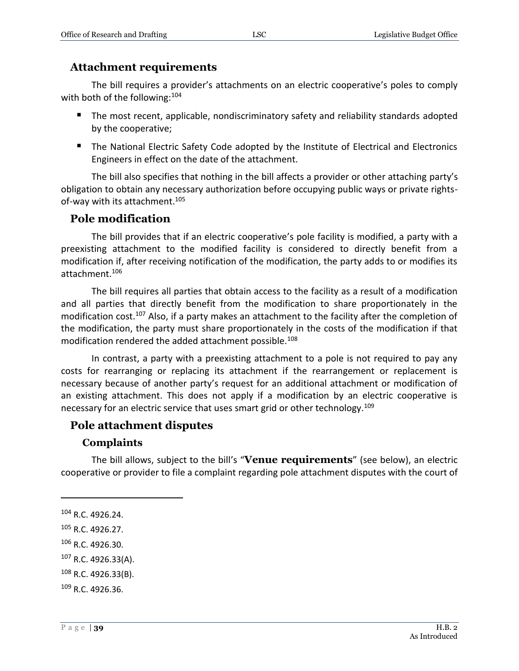#### <span id="page-38-0"></span>**Attachment requirements**

The bill requires a provider's attachments on an electric cooperative's poles to comply with both of the following: 104

- **The most recent, applicable, nondiscriminatory safety and reliability standards adopted** by the cooperative;
- The National Electric Safety Code adopted by the Institute of Electrical and Electronics Engineers in effect on the date of the attachment.

The bill also specifies that nothing in the bill affects a provider or other attaching party's obligation to obtain any necessary authorization before occupying public ways or private rightsof-way with its attachment.<sup>105</sup>

#### <span id="page-38-1"></span>**Pole modification**

The bill provides that if an electric cooperative's pole facility is modified, a party with a preexisting attachment to the modified facility is considered to directly benefit from a modification if, after receiving notification of the modification, the party adds to or modifies its attachment.<sup>106</sup>

The bill requires all parties that obtain access to the facility as a result of a modification and all parties that directly benefit from the modification to share proportionately in the modification cost.<sup>107</sup> Also, if a party makes an attachment to the facility after the completion of the modification, the party must share proportionately in the costs of the modification if that modification rendered the added attachment possible.<sup>108</sup>

In contrast, a party with a preexisting attachment to a pole is not required to pay any costs for rearranging or replacing its attachment if the rearrangement or replacement is necessary because of another party's request for an additional attachment or modification of an existing attachment. This does not apply if a modification by an electric cooperative is necessary for an electric service that uses smart grid or other technology.<sup>109</sup>

#### <span id="page-38-2"></span>**Pole attachment disputes**

#### **Complaints**

<span id="page-38-3"></span>The bill allows, subject to the bill's "**Venue requirements**" (see below), an electric cooperative or provider to file a complaint regarding pole attachment disputes with the court of

 $\overline{a}$ 

<sup>107</sup> R.C. 4926.33(A).

<sup>104</sup> R.C. 4926.24.

<sup>105</sup> R.C. 4926.27.

<sup>106</sup> R.C. 4926.30.

<sup>108</sup> R.C. 4926.33(B).

<sup>109</sup> R.C. 4926.36.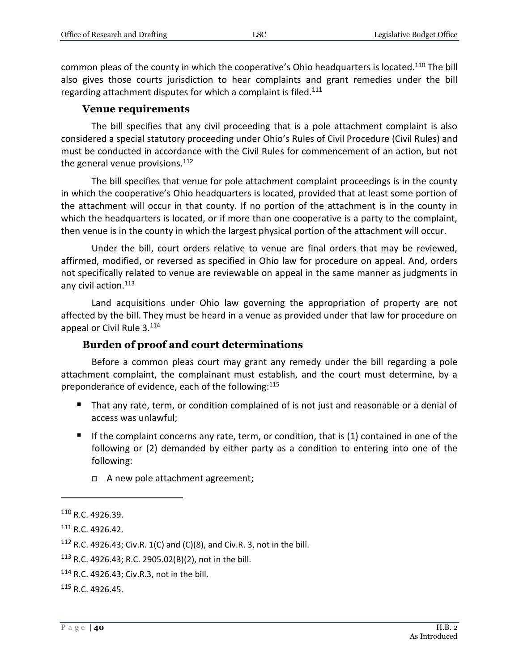common pleas of the county in which the cooperative's Ohio headquarters is located.<sup>110</sup> The bill also gives those courts jurisdiction to hear complaints and grant remedies under the bill regarding attachment disputes for which a complaint is filed.<sup>111</sup>

#### **Venue requirements**

<span id="page-39-0"></span>The bill specifies that any civil proceeding that is a pole attachment complaint is also considered a special statutory proceeding under Ohio's Rules of Civil Procedure (Civil Rules) and must be conducted in accordance with the Civil Rules for commencement of an action, but not the general venue provisions. $112$ 

The bill specifies that venue for pole attachment complaint proceedings is in the county in which the cooperative's Ohio headquarters is located, provided that at least some portion of the attachment will occur in that county. If no portion of the attachment is in the county in which the headquarters is located, or if more than one cooperative is a party to the complaint, then venue is in the county in which the largest physical portion of the attachment will occur.

Under the bill, court orders relative to venue are final orders that may be reviewed, affirmed, modified, or reversed as specified in Ohio law for procedure on appeal. And, orders not specifically related to venue are reviewable on appeal in the same manner as judgments in any civil action.<sup>113</sup>

Land acquisitions under Ohio law governing the appropriation of property are not affected by the bill. They must be heard in a venue as provided under that law for procedure on appeal or Civil Rule 3.<sup>114</sup>

#### **Burden of proof and court determinations**

<span id="page-39-1"></span>Before a common pleas court may grant any remedy under the bill regarding a pole attachment complaint, the complainant must establish, and the court must determine, by a preponderance of evidence, each of the following:<sup>115</sup>

- That any rate, term, or condition complained of is not just and reasonable or a denial of access was unlawful;
- If the complaint concerns any rate, term, or condition, that is  $(1)$  contained in one of the following or (2) demanded by either party as a condition to entering into one of the following:
	- A new pole attachment agreement;

<sup>110</sup> R.C. 4926.39.

<sup>111</sup> R.C. 4926.42.

<sup>&</sup>lt;sup>112</sup> R.C. 4926.43; Civ.R. 1(C) and (C)(8), and Civ.R. 3, not in the bill.

<sup>113</sup> R.C. 4926.43; R.C. 2905.02(B)(2), not in the bill.

<sup>114</sup> R.C. 4926.43; Civ.R.3, not in the bill.

<sup>115</sup> R.C. 4926.45.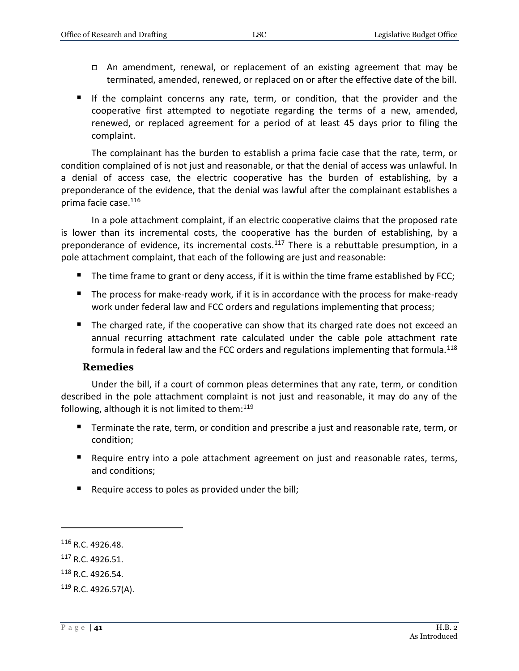- An amendment, renewal, or replacement of an existing agreement that may be terminated, amended, renewed, or replaced on or after the effective date of the bill.
- If the complaint concerns any rate, term, or condition, that the provider and the cooperative first attempted to negotiate regarding the terms of a new, amended, renewed, or replaced agreement for a period of at least 45 days prior to filing the complaint.

The complainant has the burden to establish a prima facie case that the rate, term, or condition complained of is not just and reasonable, or that the denial of access was unlawful. In a denial of access case, the electric cooperative has the burden of establishing, by a preponderance of the evidence, that the denial was lawful after the complainant establishes a prima facie case.<sup>116</sup>

In a pole attachment complaint, if an electric cooperative claims that the proposed rate is lower than its incremental costs, the cooperative has the burden of establishing, by a preponderance of evidence, its incremental costs.<sup>117</sup> There is a rebuttable presumption, in a pole attachment complaint, that each of the following are just and reasonable:

- $\blacksquare$  The time frame to grant or deny access, if it is within the time frame established by FCC;
- The process for make-ready work, if it is in accordance with the process for make-ready work under federal law and FCC orders and regulations implementing that process;
- The charged rate, if the cooperative can show that its charged rate does not exceed an annual recurring attachment rate calculated under the cable pole attachment rate formula in federal law and the FCC orders and regulations implementing that formula.<sup>118</sup>

#### **Remedies**

<span id="page-40-0"></span>Under the bill, if a court of common pleas determines that any rate, term, or condition described in the pole attachment complaint is not just and reasonable, it may do any of the following, although it is not limited to them: $119$ 

- Terminate the rate, term, or condition and prescribe a just and reasonable rate, term, or condition;
- Require entry into a pole attachment agreement on just and reasonable rates, terms, and conditions;
- Require access to poles as provided under the bill;

<sup>&</sup>lt;sup>116</sup> R.C. 4926.48.

<sup>&</sup>lt;sup>117</sup> R.C. 4926.51.

<sup>118</sup> R.C. 4926.54.

<sup>119</sup> R.C. 4926.57(A).